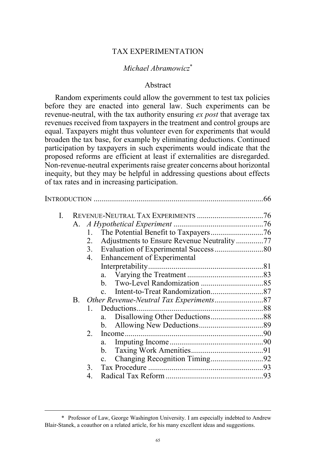# TAX EXPERIMENTATION

# *Michael Abramowicz*\*

# Abstract

Random experiments could allow the government to test tax policies before they are enacted into general law. Such experiments can be revenue-neutral, with the tax authority ensuring *ex post* that average tax revenues received from taxpayers in the treatment and control groups are equal. Taxpayers might thus volunteer even for experiments that would broaden the tax base, for example by eliminating deductions. Continued participation by taxpayers in such experiments would indicate that the proposed reforms are efficient at least if externalities are disregarded. Non-revenue-neutral experiments raise greater concerns about horizontal inequity, but they may be helpful in addressing questions about effects of tax rates and in increasing participation.

|    |              |                | .66                                                                       |
|----|--------------|----------------|---------------------------------------------------------------------------|
| I. |              |                |                                                                           |
|    |              |                |                                                                           |
|    | 1.           |                |                                                                           |
|    | 2.           |                |                                                                           |
|    | 3.           |                |                                                                           |
|    | 4.           |                |                                                                           |
|    |              |                |                                                                           |
|    |              | a.             |                                                                           |
|    |              | $\mathbf{b}$ . |                                                                           |
|    |              | $\mathbf{c}$   |                                                                           |
|    |              |                |                                                                           |
|    | $\mathbf{1}$ |                |                                                                           |
|    |              | a.             |                                                                           |
|    |              | $\mathbf{b}$ . |                                                                           |
|    | $2_{\cdot}$  |                |                                                                           |
|    |              | a.             |                                                                           |
|    |              | b.             |                                                                           |
|    |              |                |                                                                           |
|    | 3            |                |                                                                           |
|    |              |                |                                                                           |
|    |              | $A_{-}$<br>B.  | Adjustments to Ensure Revenue Neutrality77<br>Enhancement of Experimental |

 <sup>\*</sup> Professor of Law, George Washington University. I am especially indebted to Andrew Blair-Stanek, a coauthor on a related article, for his many excellent ideas and suggestions.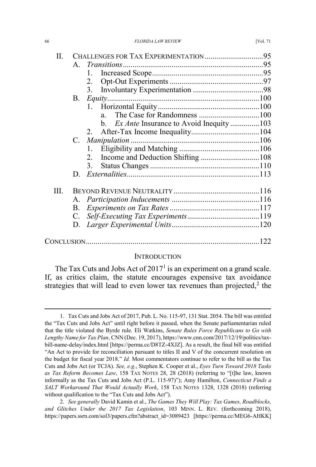| П. | CHALLENGES FOR TAX EXPERIMENTATION 95 |                                        |  |  |  |
|----|---------------------------------------|----------------------------------------|--|--|--|
|    | $\mathsf{A}$                          |                                        |  |  |  |
|    |                                       | 1.                                     |  |  |  |
|    |                                       | 2.                                     |  |  |  |
|    |                                       | 3.                                     |  |  |  |
|    | $B_{\cdot}$                           |                                        |  |  |  |
|    |                                       |                                        |  |  |  |
|    |                                       | $a -$                                  |  |  |  |
|    |                                       | Ex Ante Insurance to Avoid Inequity103 |  |  |  |
|    |                                       | 2                                      |  |  |  |
|    | $C_{\cdot}$                           |                                        |  |  |  |
|    |                                       | $1_{-}$                                |  |  |  |
|    |                                       |                                        |  |  |  |
|    |                                       | 3.                                     |  |  |  |
|    | D.                                    |                                        |  |  |  |
| Ш. |                                       |                                        |  |  |  |
|    |                                       |                                        |  |  |  |
|    |                                       |                                        |  |  |  |
|    | $C_{\cdot}$                           |                                        |  |  |  |
|    | D.                                    |                                        |  |  |  |
|    |                                       |                                        |  |  |  |
|    |                                       |                                        |  |  |  |

### **INTRODUCTION**

The Tax Cuts and Jobs Act of  $2017<sup>1</sup>$  is an experiment on a grand scale. If, as critics claim, the statute encourages expensive tax avoidance strategies that will lead to even lower tax revenues than projected,<sup>2</sup> the

 <sup>1.</sup> Tax Cuts and Jobs Act of 2017, Pub. L. No. 115-97, 131 Stat. 2054. The bill was entitled the "Tax Cuts and Jobs Act" until right before it passed, when the Senate parliamentarian ruled that the title violated the Byrde rule. Eli Watkins, *Senate Rules Force Republicans to Go with Lengthy Name for Tax Plan*, CNN (Dec. 19, 2017), https://www.cnn.com/2017/12/19/politics/taxbill-name-delay/index.html [https://perma.cc/D8TZ-4XJZ]. As a result, the final bill was entitled "An Act to provide for reconciliation pursuant to titles II and V of the concurrent resolution on the budget for fiscal year 2018." *Id.* Most commentators continue to refer to the bill as the Tax Cuts and Jobs Act (or TCJA). *See, e.g.*, Stephen K. Cooper et al., *Eyes Turn Toward 2018 Tasks as Tax Reform Becomes Law*, 158 TAX NOTES 28, 28 (2018) (referring to "[t]he law, known informally as the Tax Cuts and Jobs Act (P.L. 115-97)"); Amy Hamilton, *Connecticut Finds a SALT Workaround That Would Actually Work*, 158 TAX NOTES 1328, 1328 (2018) (referring without qualification to the "Tax Cuts and Jobs Act").

<sup>2.</sup> *See generally* David Kamin et al., *The Games They Will Play: Tax Games, Roadblocks, and Glitches Under the 2017 Tax Legislation*, 103 MINN. L. REV. (forthcoming 2018), https://papers.ssrn.com/sol3/papers.cfm?abstract\_id=3089423 [https://perma.cc/MEG6-AHKK]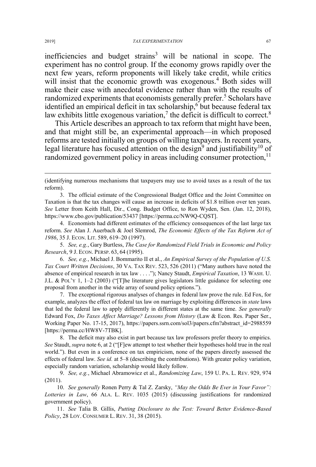inefficiencies and budget strains<sup>3</sup> will be national in scope. The experiment has no control group. If the economy grows rapidly over the next few years, reform proponents will likely take credit, while critics will insist that the economic growth was exogenous.<sup>4</sup> Both sides will make their case with anecdotal evidence rather than with the results of randomized experiments that economists generally prefer.<sup>5</sup> Scholars have identified an empirical deficit in tax scholarship, $6$  but because federal tax law exhibits little exogenous variation, $\frac{7}{1}$  the deficit is difficult to correct.<sup>8</sup>

This Article describes an approach to tax reform that might have been, and that might still be, an experimental approach—in which proposed reforms are tested initially on groups of willing taxpayers. In recent years, legal literature has focused attention on the design<sup>9</sup> and justifiability<sup>10</sup> of randomized government policy in areas including consumer protection,  $11$ 

4. Economists had different estimates of the efficiency consequences of the last large tax reform. *See* Alan J. Auerbach & Joel Slemrod, *The Economic Effects of the Tax Reform Act of 1986*, 35 J. ECON. LIT. 589, 619–20 (1997).

5. *See, e.g.*, Gary Burtless, *The Case for Randomized Field Trials in Economic and Policy Research*, 9 J. ECON. PERSP. 63, 64 (1995).

6. *See, e.g.*, Michael J. Bommarito II et al., *An Empirical Survey of the Population of U.S. Tax Court Written Decisions*, 30 VA. TAX REV. 523, 526 (2011) ("Many authors have noted the absence of empirical research in tax law . . . ."); Nancy Staudt, *Empirical Taxation*, 13 WASH. U. J.L. & POL'Y 1, 1–2 (2003) ("[T]he literature gives legislators little guidance for selecting one proposal from another in the wide array of sound policy options.").

7. The exceptional rigorous analyses of changes in federal law prove the rule. Ed Fox, for example, analyzes the effect of federal tax law on marriage by exploiting differences in *state* laws that led the federal law to apply differently in different states at the same time. *See generally* Edward Fox, *Do Taxes Affect Marriage? Lessons from History* (Law & Econ. Res. Paper Ser., Working Paper No. 17-15, 2017), https://papers.ssrn.com/sol3/papers.cfm?abstract\_id=2988559 [https://perma.cc/HW8V-7TBK].

8. The deficit may also exist in part because tax law professors prefer theory to empirics. *See* Staudt, *supra* note 6, at 2 ("[F]ew attempt to test whether their hypotheses hold true in the real world."). But even in a conference on tax empiricism, none of the papers directly assessed the effects of federal law. *See id.* at 5–8 (describing the contributions). With greater policy variation, especially random variation, scholarship would likely follow.

9. *See, e.g.*, Michael Abramowicz et al., *Randomizing Law*, 159 U. PA. L. REV. 929, 974 (2011).

10. *See generally* Ronen Perry & Tal Z. Zarsky, *"May the Odds Be Ever in Your Favor": Lotteries in Law*, 66 ALA. L. REV. 1035 (2015) (discussing justifications for randomized government policy).

11. *See* Talia B. Gillis, *Putting Disclosure to the Test: Toward Better Evidence-Based Policy*, 28 LOY. CONSUMER L. REV. 31, 38 (2015).

 $\overline{a}$ 

<sup>(</sup>identifying numerous mechanisms that taxpayers may use to avoid taxes as a result of the tax reform).

<sup>3.</sup> The official estimate of the Congressional Budget Office and the Joint Committee on Taxation is that the tax changes will cause an increase in deficits of \$1.8 trillion over ten years. *See* Letter from Keith Hall, Dir., Cong. Budget Office, to Ron Wyden, Sen. (Jan. 12, 2018), https://www.cbo.gov/publication/53437 [https://perma.cc/NW9Q-CQST].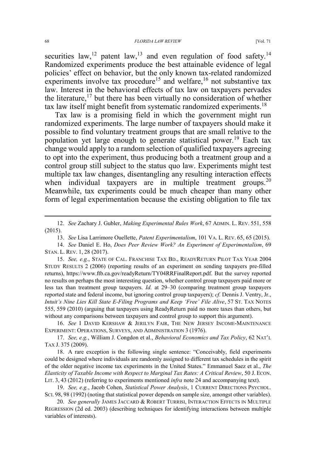securities law,  $12$  patent law,  $13$  and even regulation of food safety.  $14$ Randomized experiments produce the best attainable evidence of legal policies' effect on behavior, but the only known tax-related randomized experiments involve tax procedure<sup>15</sup> and welfare,<sup>16</sup> not substantive tax law. Interest in the behavioral effects of tax law on taxpayers pervades the literature,<sup>17</sup> but there has been virtually no consideration of whether tax law itself might benefit from systematic randomized experiments.<sup>18</sup>

Tax law is a promising field in which the government might run randomized experiments. The large number of taxpayers should make it possible to find voluntary treatment groups that are small relative to the population yet large enough to generate statistical power.<sup>19</sup> Each tax change would apply to a random selection of qualified taxpayers agreeing to opt into the experiment, thus producing both a treatment group and a control group still subject to the status quo law. Experiments might test multiple tax law changes, disentangling any resulting interaction effects when individual taxpayers are in multiple treatment groups.<sup>20</sup> Meanwhile, tax experiments could be much cheaper than many other form of legal experimentation because the existing obligation to file tax

 <sup>12.</sup> *See* Zachary J. Gubler, *Making Experimental Rules Work*, 67 ADMIN. L. REV. 551, 558 (2015).

<sup>13.</sup> *See* Lisa Larrimore Ouellette, *Patent Experimentalism*, 101 VA. L. REV. 65, 65 (2015).

<sup>14.</sup> *See* Daniel E. Ho, *Does Peer Review Work? An Experiment of Experimentalism*, 69 STAN. L. REV. 1, 28 (2017).

<sup>15.</sup> *See, e.g.*, STATE OF CAL. FRANCHISE TAX BD., READYRETURN PILOT TAX YEAR 2004 STUDY RESULTS 2 (2006) (reporting results of an experiment on sending taxpayers pre-filled returns), https://www.ftb.ca.gov/readyReturn/TY04RRFinalReport.pdf. But the survey reported no results on perhaps the most interesting question, whether control group taxpayers paid more or less tax than treatment group taxpayers. *Id.* at 29–30 (comparing treatment group taxpayers reported state and federal income, but ignoring control group taxpayers); *cf.* Dennis J. Ventry, Jr., *Intuit's Nine Lies Kill State E-Filing Programs and Keep 'Free' File Alive*, 57 ST. TAX NOTES 555, 559 (2010) (arguing that taxpayers using ReadyReturn paid no more taxes than others, but without any comparisons between taxpayers and control group to support this argument).

<sup>16.</sup> *See* I DAVID KERSHAW & JERILYN FAIR, THE NEW JERSEY INCOME-MAINTENANCE EXPERIMENT: OPERATIONS, SURVEYS, AND ADMINISTRATION 3 (1976).

<sup>17.</sup> *See, e.g.*, William J. Congdon et al., *Behavioral Economics and Tax Policy*, 62 NAT'L TAX J. 375 (2009).

<sup>18.</sup> A rare exception is the following single sentence: "Conceivably, field experiments could be designed where individuals are randomly assigned to different tax schedules in the spirit of the older negative income tax experiments in the United States." Emmanuel Saez et al., *The Elasticity of Taxable Income with Respect to Marginal Tax Rates: A Critical Review*, 50 J. ECON. LIT. 3, 43 (2012) (referring to experiments mentioned *infra* note 24 and accompanying text).

<sup>19.</sup> *See, e.g.*, Jacob Cohen, *Statistical Power Analysis*, 1 CURRENT DIRECTIONS PSYCHOL. SCI. 98, 98 (1992) (noting that statistical power depends on sample size, amongst other variables).

<sup>20.</sup> *See generally* JAMES JACCARD & ROBERT TURRISI, INTERACTION EFFECTS IN MULTIPLE REGRESSION (2d ed. 2003) (describing techniques for identifying interactions between multiple variables of interests).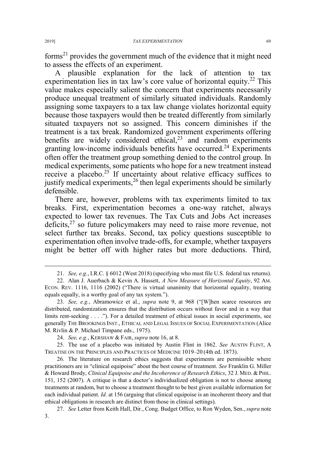forms<sup>21</sup> provides the government much of the evidence that it might need to assess the effects of an experiment.

A plausible explanation for the lack of attention to tax experimentation lies in tax law's core value of horizontal equity.<sup>22</sup> This value makes especially salient the concern that experiments necessarily produce unequal treatment of similarly situated individuals. Randomly assigning some taxpayers to a tax law change violates horizontal equity because those taxpayers would then be treated differently from similarly situated taxpayers not so assigned. This concern diminishes if the treatment is a tax break. Randomized government experiments offering benefits are widely considered ethical, $2<sup>3</sup>$  and random experiments granting low-income individuals benefits have occurred.<sup>24</sup> Experiments often offer the treatment group something denied to the control group. In medical experiments, some patients who hope for a new treatment instead receive a placebo.<sup>25</sup> If uncertainty about relative efficacy suffices to justify medical experiments,  $26$  then legal experiments should be similarly defensible.

There are, however, problems with tax experiments limited to tax breaks. First, experimentation becomes a one-way ratchet, always expected to lower tax revenues. The Tax Cuts and Jobs Act increases deficits,  $27$  so future policymakers may need to raise more revenue, not select further tax breaks. Second, tax policy questions susceptible to experimentation often involve trade-offs, for example, whether taxpayers might be better off with higher rates but more deductions. Third,

 <sup>21.</sup> *See, e.g.*, I.R.C. § 6012 (West 2018) (specifying who must file U.S. federal tax returns).

<sup>22.</sup> Alan J. Auerbach & Kevin A. Hassett, *A New Measure of Horizontal Equity*, 92 AM. ECON. REV. 1116, 1116 (2002) ("There is virtual unanimity that horizontal equality, treating equals equally, is a worthy goal of any tax system.").

<sup>23.</sup> *See, e.g.*, Abramowicz et al., *supra* note 9, at 968 ("[W]hen scarce resources are distributed, randomization ensures that the distribution occurs without favor and in a way that limits rent-seeking . . . ."). For a detailed treatment of ethical issues in social experiments, see generally THE BROOKINGS INST., ETHICAL AND LEGAL ISSUES OF SOCIAL EXPERIMENTATION (Alice M. Rivlin & P. Michael Timpane eds., 1975).

<sup>24.</sup> *See, e.g.*, KERSHAW & FAIR, *supra* note 16, at 8.

<sup>25.</sup> The use of a placebo was initiated by Austin Flint in 1862. *See* AUSTIN FLINT, A TREATISE ON THE PRINCIPLES AND PRACTICES OF MEDICINE 1019–20 (4th ed. 1873).

<sup>26.</sup> The literature on research ethics suggests that experiments are permissible where practitioners are in "clinical equipoise" about the best course of treatment. *See* Franklin G. Miller & Howard Brody, *Clinical Equipoise and the Incoherence of Research Ethics*, 32 J. MED.&PHIL. 151, 152 (2007). A critique is that a doctor's individualized obligation is not to choose among treatments at random, but to choose a treatment thought to be best given available information for each individual patient. *Id.* at 156 (arguing that clinical equipoise is an incoherent theory and that ethical obligations in research are distinct from those in clinical settings).

<sup>27.</sup> *See* Letter from Keith Hall, Dir., Cong. Budget Office, to Ron Wyden, Sen.,*supra* note 3.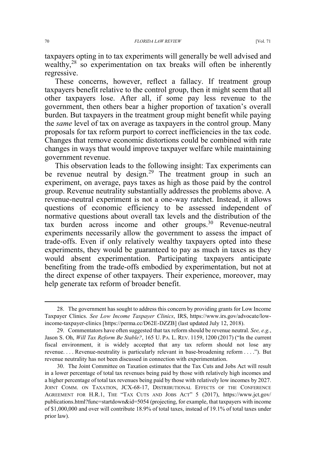taxpayers opting in to tax experiments will generally be well advised and wealthy,<sup>28</sup> so experimentation on tax breaks will often be inherently regressive.

These concerns, however, reflect a fallacy. If treatment group taxpayers benefit relative to the control group, then it might seem that all other taxpayers lose. After all, if some pay less revenue to the government, then others bear a higher proportion of taxation's overall burden. But taxpayers in the treatment group might benefit while paying the *same* level of tax on average as taxpayers in the control group. Many proposals for tax reform purport to correct inefficiencies in the tax code. Changes that remove economic distortions could be combined with rate changes in ways that would improve taxpayer welfare while maintaining government revenue.

This observation leads to the following insight: Tax experiments can be revenue neutral by design.<sup>29</sup> The treatment group in such an experiment, on average, pays taxes as high as those paid by the control group. Revenue neutrality substantially addresses the problems above. A revenue-neutral experiment is not a one-way ratchet. Instead, it allows questions of economic efficiency to be assessed independent of normative questions about overall tax levels and the distribution of the tax burden across income and other groups. $30$  Revenue-neutral experiments necessarily allow the government to assess the impact of trade-offs. Even if only relatively wealthy taxpayers opted into these experiments, they would be guaranteed to pay as much in taxes as they would absent experimentation. Participating taxpayers anticipate benefiting from the trade-offs embodied by experimentation, but not at the direct expense of other taxpayers. Their experience, moreover, may help generate tax reform of broader benefit.

 <sup>28.</sup> The government has sought to address this concern by providing grants for Low Income Taxpayer Clinics. *See Low Income Taxpayer Clinics*, IRS, https://www.irs.gov/advocate/lowincome-taxpayer-clinics [https://perma.cc/D62E-DZZB] (last updated July 12, 2018).

<sup>29.</sup> Commentators have often suggested that tax reform should be revenue neutral. *See, e.g.*, Jason S. Oh, *Will Tax Reform Be Stable?*, 165 U. PA. L. REV. 1159, 1200 (2017) ("In the current fiscal environment, it is widely accepted that any tax reform should not lose any revenue. . . . Revenue-neutrality is particularly relevant in base-broadening reform ...."). But revenue neutrality has not been discussed in connection with experimentation.

<sup>30.</sup> The Joint Committee on Taxation estimates that the Tax Cuts and Jobs Act will result in a lower percentage of total tax revenues being paid by those with relatively high incomes and a higher percentage of total tax revenues being paid by those with relatively low incomes by 2027. JOINT COMM. ON TAXATION, JCX-68-17, DISTRIBUTIONAL EFFECTS OF THE CONFERENCE AGREEMENT FOR H.R.1, THE "TAX CUTS AND JOBS ACT" 5 (2017), https://www.jct.gov/ publications.html?func=startdown&id=5054 (projecting, for example, that taxpayers with income of \$1,000,000 and over will contribute 18.9% of total taxes, instead of 19.1% of total taxes under prior law).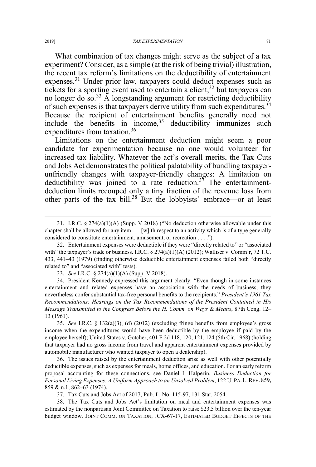What combination of tax changes might serve as the subject of a tax experiment? Consider, as a simple (at the risk of being trivial) illustration, the recent tax reform's limitations on the deductibility of entertainment expenses.<sup>31</sup> Under prior law, taxpayers could deduct expenses such as tickets for a sporting event used to entertain a client,  $32$  but taxpayers can no longer do so.<sup>33</sup> A longstanding argument for restricting deductibility of such expenses is that taxpayers derive utility from such expenditures.<sup>34</sup> Because the recipient of entertainment benefits generally need not include the benefits in income,  $35$  deductibility immunizes such expenditures from taxation.<sup>36</sup>

Limitations on the entertainment deduction might seem a poor candidate for experimentation because no one would volunteer for increased tax liability. Whatever the act's overall merits, the Tax Cuts and Jobs Act demonstrates the political palatability of bundling taxpayerunfriendly changes with taxpayer-friendly changes: A limitation on deductibility was joined to a rate reduction.<sup>37</sup> The entertainmentdeduction limits recouped only a tiny fraction of the revenue loss from other parts of the tax bill.<sup>38</sup> But the lobbyists' embrace—or at least

33. *See* I.R.C. § 274(a)(1)(A) (Supp. V 2018).

34. President Kennedy expressed this argument clearly: "Even though in some instances entertainment and related expenses have an association with the needs of business, they nevertheless confer substantial tax-free personal benefits to the recipients." *President's 1961 Tax Recommendations: Hearings on the Tax Recommendations of the President Contained in His Message Transmitted to the Congress Before the H. Comm. on Ways & Means*, 87th Cong. 12– 13 (1961).

35. *See* I.R.C. § 132(a)(3), (d) (2012) (excluding fringe benefits from employee's gross income when the expenditures would have been deductible by the employee if paid by the employee herself); United States v. Gotcher, 401 F.2d 118, 120, 121, 124 (5th Cir. 1968) (holding that taxpayer had no gross income from travel and apparent entertainment expenses provided by automobile manufacturer who wanted taxpayer to open a dealership).

36. The issues raised by the entertainment deduction arise as well with other potentially deductible expenses, such as expenses for meals, home offices, and education. For an early reform proposal accounting for these connections, see Daniel I. Halperin, *Business Deduction for Personal Living Expenses: A Uniform Approach to an Unsolved Problem*, 122 U. PA. L. REV. 859, 859 & n.1, 862–63 (1974).

37. Tax Cuts and Jobs Act of 2017, Pub. L. No. 115-97, 131 Stat. 2054.

38. The Tax Cuts and Jobs Act's limitation on meal and entertainment expenses was estimated by the nonpartisan Joint Committee on Taxation to raise \$23.5 billion over the ten-year budget window. JOINT COMM. ON TAXATION, JCX-67-17, ESTIMATED BUDGET EFFECTS OF THE

 <sup>31.</sup> I.R.C. § 274(a)(1)(A) (Supp. V 2018) ("No deduction otherwise allowable under this chapter shall be allowed for any item . . . [w]ith respect to an activity which is of a type generally considered to constitute entertainment, amusement, or recreation . . . .").

<sup>32.</sup> Entertainment expenses were deductible if they were "directly related to" or "associated with" the taxpayer's trade or business. I.R.C.  $\S 274(a)(1)(A) (2012)$ ; Walliser v. Comm'r, 72 T.C. 433, 441–43 (1979) (finding otherwise deductible entertainment expenses failed both "directly related to" and "associated with" tests).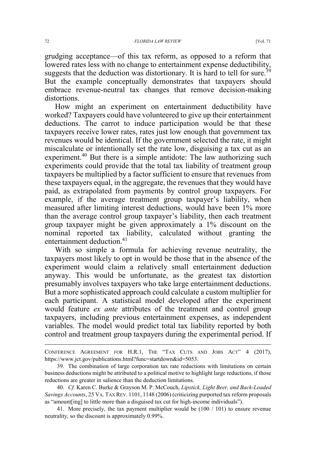grudging acceptance—of this tax reform, as opposed to a reform that lowered rates less with no change to entertainment expense deductibility, suggests that the deduction was distortionary. It is hard to tell for sure.<sup>39</sup> But the example conceptually demonstrates that taxpayers should embrace revenue-neutral tax changes that remove decision-making distortions.

How might an experiment on entertainment deductibility have worked? Taxpayers could have volunteered to give up their entertainment deductions. The carrot to induce participation would be that these taxpayers receive lower rates, rates just low enough that government tax revenues would be identical. If the government selected the rate, it might miscalculate or intentionally set the rate low, disguising a tax cut as an experiment.<sup>40</sup> But there is a simple antidote: The law authorizing such experiments could provide that the total tax liability of treatment group taxpayers be multiplied by a factor sufficient to ensure that revenues from these taxpayers equal, in the aggregate, the revenues that they would have paid, as extrapolated from payments by control group taxpayers. For example, if the average treatment group taxpayer's liability, when measured after limiting interest deductions, would have been 1% more than the average control group taxpayer's liability, then each treatment group taxpayer might be given approximately a 1% discount on the nominal reported tax liability, calculated without granting the entertainment deduction.<sup>41</sup>

With so simple a formula for achieving revenue neutrality, the taxpayers most likely to opt in would be those that in the absence of the experiment would claim a relatively small entertainment deduction anyway. This would be unfortunate, as the greatest tax distortion presumably involves taxpayers who take large entertainment deductions. But a more sophisticated approach could calculate a custom multiplier for each participant. A statistical model developed after the experiment would feature *ex ante* attributes of the treatment and control group taxpayers, including previous entertainment expenses, as independent variables. The model would predict total tax liability reported by both control and treatment group taxpayers during the experimental period. If

 $\overline{a}$ 

CONFERENCE AGREEMENT FOR H.R.1, THE "TAX CUTS AND JOBS ACT" 4 (2017), https://www.jct.gov/publications.html?func=startdown&id=5053.

<sup>39.</sup> The combination of large corporation tax rate reductions with limitations on certain business deductions might be attributed to a political motive to highlight large reductions, if those reductions are greater in salience than the deduction limitations.

<sup>40.</sup> *Cf.* Karen C. Burke & Grayson M. P. McCouch, *Lipstick, Light Beer, and Back-Loaded Savings Accounts*, 25 VA. TAX REV. 1101, 1148 (2006) (criticizing purported tax reform proposals as "amount[ing] to little more than a disguised tax cut for high-income individuals").

<sup>41.</sup> More precisely, the tax payment multiplier would be (100 / 101) to ensure revenue neutrality, so the discount is approximately 0.99%.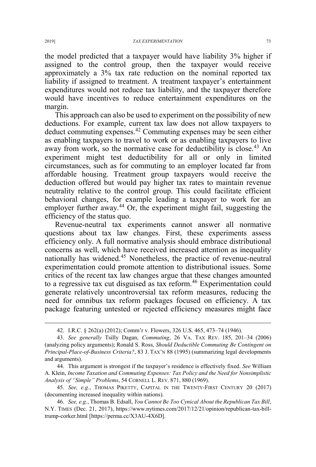the model predicted that a taxpayer would have liability 3% higher if assigned to the control group, then the taxpayer would receive approximately a 3% tax rate reduction on the nominal reported tax liability if assigned to treatment. A treatment taxpayer's entertainment expenditures would not reduce tax liability, and the taxpayer therefore would have incentives to reduce entertainment expenditures on the margin.

This approach can also be used to experiment on the possibility of new deductions. For example, current tax law does not allow taxpayers to deduct commuting expenses.<sup>42</sup> Commuting expenses may be seen either as enabling taxpayers to travel to work or as enabling taxpayers to live away from work, so the normative case for deductibility is close.<sup>43</sup> An experiment might test deductibility for all or only in limited circumstances, such as for commuting to an employer located far from affordable housing. Treatment group taxpayers would receive the deduction offered but would pay higher tax rates to maintain revenue neutrality relative to the control group. This could facilitate efficient behavioral changes, for example leading a taxpayer to work for an employer further away.<sup>44</sup> Or, the experiment might fail, suggesting the efficiency of the status quo.

Revenue-neutral tax experiments cannot answer all normative questions about tax law changes. First, these experiments assess efficiency only. A full normative analysis should embrace distributional concerns as well, which have received increased attention as inequality nationally has widened.<sup>45</sup> Nonetheless, the practice of revenue-neutral experimentation could promote attention to distributional issues. Some critics of the recent tax law changes argue that these changes amounted to a regressive tax cut disguised as tax reform.<sup>46</sup> Experimentation could generate relatively uncontroversial tax reform measures, reducing the need for omnibus tax reform packages focused on efficiency. A tax package featuring untested or rejected efficiency measures might face

 <sup>42.</sup> I.R.C. § 262(a) (2012); Comm'r v. Flowers, 326 U.S. 465, 473–74 (1946).

<sup>43.</sup> *See generally* Tsilly Dagan, *Commuting*, 26 VA. TAX REV. 185, 201–34 (2006) (analyzing policy arguments); Ronald S. Ross, *Should Deductible Commuting Be Contingent on Principal-Place-of-Business Criteria?*, 83 J. TAX'N 88 (1995) (summarizing legal developments and arguments).

<sup>44.</sup> This argument is strongest if the taxpayer's residence is effectively fixed. *See* William A. Klein, *Income Taxation and Commuting Expenses: Tax Policy and the Need for Nonsimplistic Analysis of "Simple" Problems*, 54 CORNELL L. REV. 871, 880 (1969).

<sup>45.</sup> *See, e.g.*, THOMAS PIKETTY, CAPITAL IN THE TWENTY-FIRST CENTURY 20 (2017) (documenting increased inequality within nations).

<sup>46.</sup> *See, e.g.*, Thomas B. Edsall, *You Cannot Be Too Cynical About the Republican Tax Bill*, N.Y. TIMES (Dec. 21, 2017), https://www.nytimes.com/2017/12/21/opinion/republican-tax-billtrump-corker.html [https://perma.cc/X3AU-4X6D].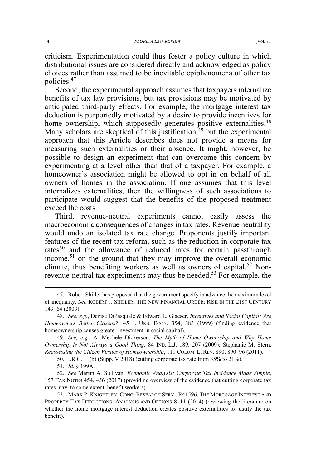criticism. Experimentation could thus foster a policy culture in which distributional issues are considered directly and acknowledged as policy choices rather than assumed to be inevitable epiphenomena of other tax policies.47

Second, the experimental approach assumes that taxpayers internalize benefits of tax law provisions, but tax provisions may be motivated by anticipated third-party effects. For example, the mortgage interest tax deduction is purportedly motivated by a desire to provide incentives for home ownership, which supposedly generates positive externalities.<sup>48</sup> Many scholars are skeptical of this justification,  $49$  but the experimental approach that this Article describes does not provide a means for measuring such externalities or their absence. It might, however, be possible to design an experiment that can overcome this concern by experimenting at a level other than that of a taxpayer. For example, a homeowner's association might be allowed to opt in on behalf of all owners of homes in the association. If one assumes that this level internalizes externalities, then the willingness of such associations to participate would suggest that the benefits of the proposed treatment exceed the costs.

Third, revenue-neutral experiments cannot easily assess the macroeconomic consequences of changes in tax rates. Revenue neutrality would undo an isolated tax rate change. Proponents justify important features of the recent tax reform, such as the reduction in corporate tax rates<sup>50</sup> and the allowance of reduced rates for certain passthrough income,51 on the ground that they may improve the overall economic climate, thus benefiting workers as well as owners of capital.<sup>52</sup> Nonrevenue-neutral tax experiments may thus be needed.<sup>53</sup> For example, the

50. I.R.C. 11(b) (Supp. V 2018) (cutting corporate tax rate from 35% to 21%).

52. *See* Martin A. Sullivan, *Economic Analysis: Corporate Tax Incidence Made Simple*, 157 TAX NOTES 454, 456 (2017) (providing overview of the evidence that cutting corporate tax rates may, to some extent, benefit workers).

 <sup>47.</sup> Robert Shiller has proposed that the government specify in advance the maximum level of inequality. *See* ROBERT J. SHILLER, THE NEW FINANCIAL ORDER: RISK IN THE 21ST CENTURY 149–64 (2003).

<sup>48.</sup> *See, e.g.*, Denise DiPasquale & Edward L. Glaeser, *Incentives and Social Capital: Are Homeowners Better Citizens?*, 45 J. URB. ECON. 354, 383 (1999) (finding evidence that homeownership causes greater investment in social capital).

<sup>49.</sup> *See, e.g.*, A. Mechele Dickerson, *The Myth of Home Ownership and Why Home Ownership Is Not Always a Good Thing*, 84 IND. L.J. 189, 207 (2009); Stephanie M. Stern, *Reassessing the Citizen Virtues of Homeownership*, 111 COLUM. L. REV. 890, 890–96 (2011).

<sup>51.</sup> *Id.* § 199A.

<sup>53.</sup> MARK P. KNIGHTLEY, CONG. RESEARCH SERV., R41596, THE MORTGAGE INTEREST AND PROPERTY TAX DEDUCTIONS: ANALYSIS AND OPTIONS 8–11 (2014) (reviewing the literature on whether the home mortgage interest deduction creates positive externalities to justify the tax benefit).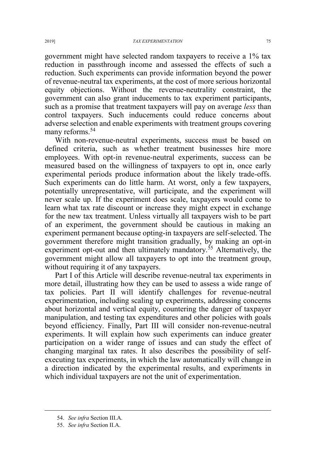government might have selected random taxpayers to receive a 1% tax reduction in passthrough income and assessed the effects of such a reduction. Such experiments can provide information beyond the power of revenue-neutral tax experiments, at the cost of more serious horizontal equity objections. Without the revenue-neutrality constraint, the government can also grant inducements to tax experiment participants, such as a promise that treatment taxpayers will pay on average *less* than control taxpayers. Such inducements could reduce concerns about adverse selection and enable experiments with treatment groups covering many reforms.<sup>54</sup>

With non-revenue-neutral experiments, success must be based on defined criteria, such as whether treatment businesses hire more employees. With opt-in revenue-neutral experiments, success can be measured based on the willingness of taxpayers to opt in, once early experimental periods produce information about the likely trade-offs. Such experiments can do little harm. At worst, only a few taxpayers, potentially unrepresentative, will participate, and the experiment will never scale up. If the experiment does scale, taxpayers would come to learn what tax rate discount or increase they might expect in exchange for the new tax treatment. Unless virtually all taxpayers wish to be part of an experiment, the government should be cautious in making an experiment permanent because opting-in taxpayers are self-selected. The government therefore might transition gradually, by making an opt-in experiment opt-out and then ultimately mandatory.<sup>55</sup> Alternatively, the government might allow all taxpayers to opt into the treatment group, without requiring it of any taxpayers.

Part I of this Article will describe revenue-neutral tax experiments in more detail, illustrating how they can be used to assess a wide range of tax policies. Part II will identify challenges for revenue-neutral experimentation, including scaling up experiments, addressing concerns about horizontal and vertical equity, countering the danger of taxpayer manipulation, and testing tax expenditures and other policies with goals beyond efficiency. Finally, Part III will consider non-revenue-neutral experiments. It will explain how such experiments can induce greater participation on a wider range of issues and can study the effect of changing marginal tax rates. It also describes the possibility of selfexecuting tax experiments, in which the law automatically will change in a direction indicated by the experimental results, and experiments in which individual taxpayers are not the unit of experimentation.

 <sup>54.</sup> *See infra* Section III.A.

<sup>55.</sup> *See infra* Section II.A.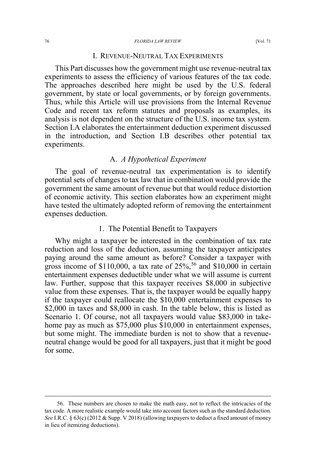#### 76 *FLORIDA LAW REVIEW* [Vol. 71

# I. REVENUE-NEUTRAL TAX EXPERIMENTS

This Part discusses how the government might use revenue-neutral tax experiments to assess the efficiency of various features of the tax code. The approaches described here might be used by the U.S. federal government, by state or local governments, or by foreign governments. Thus, while this Article will use provisions from the Internal Revenue Code and recent tax reform statutes and proposals as examples, its analysis is not dependent on the structure of the U.S. income tax system. Section I.A elaborates the entertainment deduction experiment discussed in the introduction, and Section I.B describes other potential tax experiments.

# A. *A Hypothetical Experiment*

The goal of revenue-neutral tax experimentation is to identify potential sets of changes to tax law that in combination would provide the government the same amount of revenue but that would reduce distortion of economic activity. This section elaborates how an experiment might have tested the ultimately adopted reform of removing the entertainment expenses deduction.

#### 1. The Potential Benefit to Taxpayers

Why might a taxpayer be interested in the combination of tax rate reduction and loss of the deduction, assuming the taxpayer anticipates paying around the same amount as before? Consider a taxpayer with gross income of \$110,000, a tax rate of  $25\%$ ,  $56$  and \$10,000 in certain entertainment expenses deductible under what we will assume is current law. Further, suppose that this taxpayer receives \$8,000 in subjective value from these expenses. That is, the taxpayer would be equally happy if the taxpayer could reallocate the \$10,000 entertainment expenses to \$2,000 in taxes and \$8,000 in cash. In the table below, this is listed as Scenario 1. Of course, not all taxpayers would value \$83,000 in takehome pay as much as \$75,000 plus \$10,000 in entertainment expenses, but some might. The immediate burden is not to show that a revenueneutral change would be good for all taxpayers, just that it might be good for some.

 <sup>56.</sup> These numbers are chosen to make the math easy, not to reflect the intricacies of the tax code. A more realistic example would take into account factors such as the standard deduction. *See* I.R.C. § 63(c) (2012 & Supp. V 2018) (allowing taxpayers to deduct a fixed amount of money in lieu of itemizing deductions).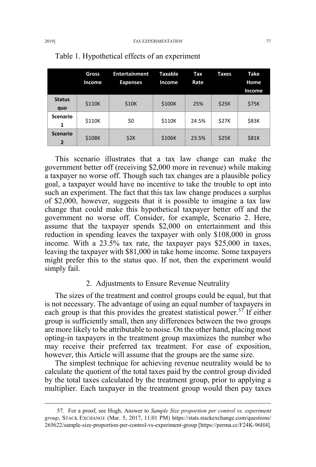|                                   | Gross<br>Income | <b>Entertainment</b><br><b>Expenses</b> | Taxable<br>Income | Tax<br>Rate | Taxes | <b>Take</b><br>Home |
|-----------------------------------|-----------------|-----------------------------------------|-------------------|-------------|-------|---------------------|
|                                   |                 |                                         |                   |             |       | Income              |
| <b>Status</b><br>quo              | \$110K          | \$10K                                   | \$100K            | 25%         | \$25K | \$75K               |
| <b>Scenario</b><br>1              | \$110K          | \$0                                     | \$110K            | 24.5%       | \$27K | \$83K               |
| <b>Scenario</b><br>$\overline{2}$ | \$108K          | \$2K                                    | \$106K            | 23.5%       | \$25K | \$81K               |

#### Table 1. Hypothetical effects of an experiment

This scenario illustrates that a tax law change can make the government better off (receiving \$2,000 more in revenue) while making a taxpayer no worse off. Though such tax changes are a plausible policy goal, a taxpayer would have no incentive to take the trouble to opt into such an experiment. The fact that this tax law change produces a surplus of \$2,000, however, suggests that it is possible to imagine a tax law change that could make this hypothetical taxpayer better off and the government no worse off. Consider, for example, Scenario 2. Here, assume that the taxpayer spends \$2,000 on entertainment and this reduction in spending leaves the taxpayer with only \$108,000 in gross income. With a 23.5% tax rate, the taxpayer pays \$25,000 in taxes, leaving the taxpayer with \$81,000 in take home income. Some taxpayers might prefer this to the status quo. If not, then the experiment would simply fail.

# 2. Adjustments to Ensure Revenue Neutrality

The sizes of the treatment and control groups could be equal, but that is not necessary. The advantage of using an equal number of taxpayers in each group is that this provides the greatest statistical power.<sup>57</sup> If either group is sufficiently small, then any differences between the two groups are more likely to be attributable to noise. On the other hand, placing most opting-in taxpayers in the treatment group maximizes the number who may receive their preferred tax treatment. For ease of exposition, however, this Article will assume that the groups are the same size.

The simplest technique for achieving revenue neutrality would be to calculate the quotient of the total taxes paid by the control group divided by the total taxes calculated by the treatment group, prior to applying a multiplier. Each taxpayer in the treatment group would then pay taxes

 <sup>57.</sup> For a proof, see Hugh, Answer to *Sample Size proportion per control vs. experiment group*, STACK EXCHANGE (Mar. 5, 2017, 11:01 PM) https://stats.stackexchange.com/questions/ 265622/sample-size-proportion-per-control-vs-experiment-group [https://perma.cc/F24K-96H4].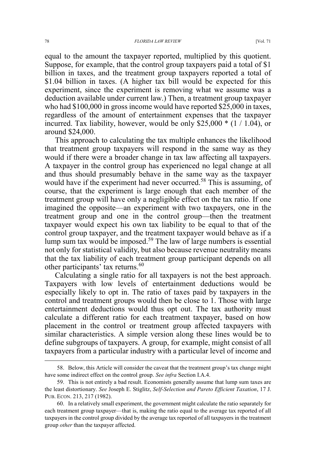equal to the amount the taxpayer reported, multiplied by this quotient. Suppose, for example, that the control group taxpayers paid a total of \$1 billion in taxes, and the treatment group taxpayers reported a total of \$1.04 billion in taxes. (A higher tax bill would be expected for this experiment, since the experiment is removing what we assume was a deduction available under current law.) Then, a treatment group taxpayer who had \$100,000 in gross income would have reported \$25,000 in taxes, regardless of the amount of entertainment expenses that the taxpayer incurred. Tax liability, however, would be only \$25,000 \* (1 / 1.04), or around \$24,000.

This approach to calculating the tax multiple enhances the likelihood that treatment group taxpayers will respond in the same way as they would if there were a broader change in tax law affecting all taxpayers. A taxpayer in the control group has experienced no legal change at all and thus should presumably behave in the same way as the taxpayer would have if the experiment had never occurred.<sup>58</sup> This is assuming, of course, that the experiment is large enough that each member of the treatment group will have only a negligible effect on the tax ratio. If one imagined the opposite—an experiment with two taxpayers, one in the treatment group and one in the control group—then the treatment taxpayer would expect his own tax liability to be equal to that of the control group taxpayer, and the treatment taxpayer would behave as if a lump sum tax would be imposed.59 The law of large numbers is essential not only for statistical validity, but also because revenue neutrality means that the tax liability of each treatment group participant depends on all other participants' tax returns.<sup>60</sup>

Calculating a single ratio for all taxpayers is not the best approach. Taxpayers with low levels of entertainment deductions would be especially likely to opt in. The ratio of taxes paid by taxpayers in the control and treatment groups would then be close to 1. Those with large entertainment deductions would thus opt out. The tax authority must calculate a different ratio for each treatment taxpayer, based on how placement in the control or treatment group affected taxpayers with similar characteristics. A simple version along these lines would be to define subgroups of taxpayers. A group, for example, might consist of all taxpayers from a particular industry with a particular level of income and

 <sup>58.</sup> Below, this Article will consider the caveat that the treatment group's tax change might have some indirect effect on the control group. *See infra* Section I.A.4.

<sup>59.</sup> This is not entirely a bad result. Economists generally assume that lump sum taxes are the least distortionary. *See* Joseph E. Stiglitz, *Self-Selection and Pareto Efficient Taxation*, 17 J. PUB. ECON. 213, 217 (1982).

<sup>60.</sup> In a relatively small experiment, the government might calculate the ratio separately for each treatment group taxpayer—that is, making the ratio equal to the average tax reported of all taxpayers in the control group divided by the average tax reported of all taxpayers in the treatment group *other* than the taxpayer affected.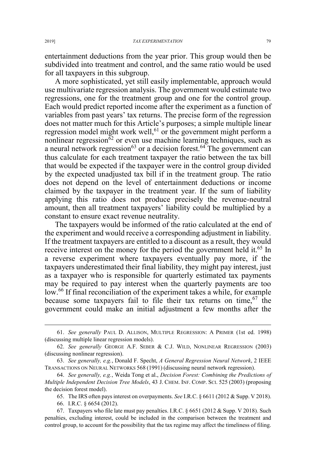entertainment deductions from the year prior. This group would then be subdivided into treatment and control, and the same ratio would be used for all taxpayers in this subgroup.

A more sophisticated, yet still easily implementable, approach would use multivariate regression analysis. The government would estimate two regressions, one for the treatment group and one for the control group. Each would predict reported income after the experiment as a function of variables from past years' tax returns. The precise form of the regression does not matter much for this Article's purposes; a simple multiple linear regression model might work well,<sup>61</sup> or the government might perform a nonlinear regression $\delta^2$  or even use machine learning techniques, such as a neural network regression<sup>63</sup> or a decision forest.<sup>64</sup> The government can thus calculate for each treatment taxpayer the ratio between the tax bill that would be expected if the taxpayer were in the control group divided by the expected unadjusted tax bill if in the treatment group. The ratio does not depend on the level of entertainment deductions or income claimed by the taxpayer in the treatment year. If the sum of liability applying this ratio does not produce precisely the revenue-neutral amount, then all treatment taxpayers' liability could be multiplied by a constant to ensure exact revenue neutrality.

The taxpayers would be informed of the ratio calculated at the end of the experiment and would receive a corresponding adjustment in liability. If the treatment taxpayers are entitled to a discount as a result, they would receive interest on the money for the period the government held it.<sup>65</sup> In a reverse experiment where taxpayers eventually pay more, if the taxpayers underestimated their final liability, they might pay interest, just as a taxpayer who is responsible for quarterly estimated tax payments may be required to pay interest when the quarterly payments are too low.<sup>66</sup> If final reconciliation of the experiment takes a while, for example because some taxpayers fail to file their tax returns on time,  $67$  the government could make an initial adjustment a few months after the

 <sup>61.</sup> *See generally* PAUL D. ALLISON, MULTIPLE REGRESSION:APRIMER (1st ed. 1998) (discussing multiple linear regression models).

<sup>62.</sup> *See generally* GEORGE A.F. SEBER & C.J. WILD, NONLINEAR REGRESSION (2003) (discussing nonlinear regression).

<sup>63.</sup> *See generally, e.g.*, Donald F. Specht, *A General Regression Neural Network*, 2 IEEE TRANSACTIONS ON NEURAL NETWORKS 568 (1991) (discussing neural network regression).

<sup>64.</sup> *See generally, e.g.*, Weida Tong et al., *Decision Forest: Combining the Predictions of Multiple Independent Decision Tree Models*, 43 J. CHEM. INF. COMP. SCI. 525 (2003) (proposing the decision forest model).

<sup>65.</sup> The IRS often pays interest on overpayments. *See* I.R.C. § 6611 (2012 & Supp. V 2018).

<sup>66.</sup> I.R.C. § 6654 (2012).

<sup>67.</sup> Taxpayers who file late must pay penalties. I.R.C. § 6651 (2012 & Supp. V 2018). Such penalties, excluding interest, could be included in the comparison between the treatment and control group, to account for the possibility that the tax regime may affect the timeliness of filing.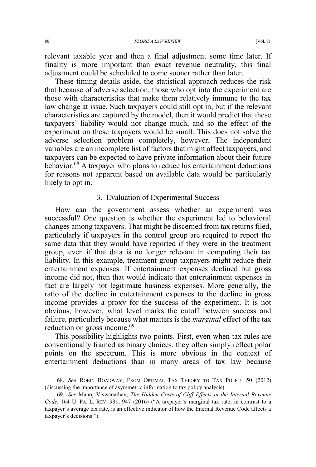relevant taxable year and then a final adjustment some time later. If finality is more important than exact revenue neutrality, this final adjustment could be scheduled to come sooner rather than later.

These timing details aside, the statistical approach reduces the risk that because of adverse selection, those who opt into the experiment are those with characteristics that make them relatively immune to the tax law change at issue. Such taxpayers could still opt in, but if the relevant characteristics are captured by the model, then it would predict that these taxpayers' liability would not change much, and so the effect of the experiment on these taxpayers would be small. This does not solve the adverse selection problem completely, however. The independent variables are an incomplete list of factors that might affect taxpayers, and taxpayers can be expected to have private information about their future behavior.<sup>68</sup> A taxpayer who plans to reduce his entertainment deductions for reasons not apparent based on available data would be particularly likely to opt in.

#### 3. Evaluation of Experimental Success

How can the government assess whether an experiment was successful? One question is whether the experiment led to behavioral changes among taxpayers. That might be discerned from tax returns filed, particularly if taxpayers in the control group are required to report the same data that they would have reported if they were in the treatment group, even if that data is no longer relevant in computing their tax liability. In this example, treatment group taxpayers might reduce their entertainment expenses. If entertainment expenses declined but gross income did not, then that would indicate that entertainment expenses in fact are largely not legitimate business expenses. More generally, the ratio of the decline in entertainment expenses to the decline in gross income provides a proxy for the success of the experiment. It is not obvious, however, what level marks the cutoff between success and failure, particularly because what matters is the *marginal* effect of the tax reduction on gross income.<sup>69</sup>

This possibility highlights two points. First, even when tax rules are conventionally framed as binary choices, they often simply reflect polar points on the spectrum. This is more obvious in the context of entertainment deductions than in many areas of tax law because

 <sup>68.</sup> *See* ROBIN BOADWAY, FROM OPTIMAL TAX THEORY TO TAX POLICY 50 (2012) (discussing the importance of asymmetric information to tax policy analysis).

<sup>69.</sup> *See* Manoj Viswanathan, *The Hidden Costs of Cliff Effects in the Internal Revenue Code*, 164 U. PA. L. REV. 931, 947 (2016) ("A taxpayer's marginal tax rate, in contrast to a taxpayer's average tax rate, is an effective indicator of how the Internal Revenue Code affects a taxpayer's decisions.").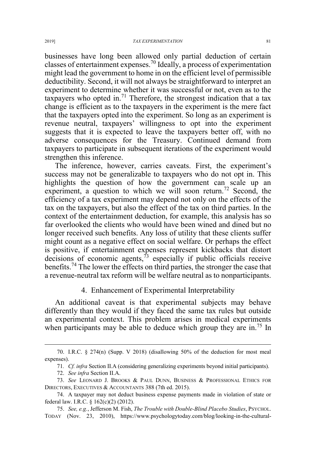businesses have long been allowed only partial deduction of certain classes of entertainment expenses.70 Ideally, a process of experimentation might lead the government to home in on the efficient level of permissible deductibility. Second, it will not always be straightforward to interpret an experiment to determine whether it was successful or not, even as to the taxpayers who opted in.<sup>71</sup> Therefore, the strongest indication that a tax change is efficient as to the taxpayers in the experiment is the mere fact that the taxpayers opted into the experiment. So long as an experiment is revenue neutral, taxpayers' willingness to opt into the experiment suggests that it is expected to leave the taxpayers better off, with no adverse consequences for the Treasury. Continued demand from taxpayers to participate in subsequent iterations of the experiment would strengthen this inference.

The inference, however, carries caveats. First, the experiment's success may not be generalizable to taxpayers who do not opt in. This highlights the question of how the government can scale up an experiment, a question to which we will soon return.<sup>72</sup> Second, the efficiency of a tax experiment may depend not only on the effects of the tax on the taxpayers, but also the effect of the tax on third parties. In the context of the entertainment deduction, for example, this analysis has so far overlooked the clients who would have been wined and dined but no longer received such benefits. Any loss of utility that these clients suffer might count as a negative effect on social welfare. Or perhaps the effect is positive, if entertainment expenses represent kickbacks that distort decisions of economic agents, $\frac{73}{2}$  especially if public officials receive benefits.<sup>74</sup> The lower the effects on third parties, the stronger the case that a revenue-neutral tax reform will be welfare neutral as to nonparticipants.

# 4. Enhancement of Experimental Interpretability

An additional caveat is that experimental subjects may behave differently than they would if they faced the same tax rules but outside an experimental context. This problem arises in medical experiments when participants may be able to deduce which group they are in.<sup>75</sup> In

<sup>70.</sup> I.R.C.  $\S$  274(n) (Supp. V 2018) (disallowing 50% of the deduction for most meal expenses).

<sup>71</sup>*. Cf. infra* Section II.A (considering generalizing experiments beyond initial participants).

<sup>72.</sup> *See infra* Section II.A.

<sup>73.</sup> *See* LEONARD J. BROOKS & PAUL DUNN, BUSINESS & PROFESSIONAL ETHICS FOR DIRECTORS, EXECUTIVES & ACCOUNTANTS 388 (7th ed. 2015).

<sup>74.</sup> A taxpayer may not deduct business expense payments made in violation of state or federal law. I.R.C. § 162(c)(2) (2012).

<sup>75.</sup> *See, e.g.*, Jefferson M. Fish, *The Trouble with Double-Blind Placebo Studies*, PSYCHOL. TODAY (Nov. 23, 2010), https://www.psychologytoday.com/blog/looking-in-the-cultural-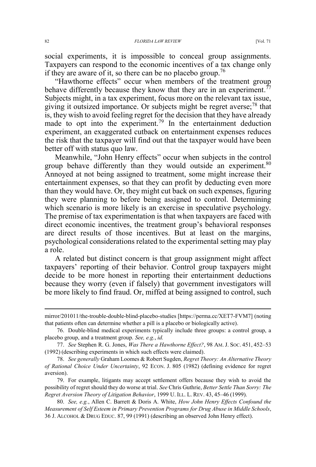social experiments, it is impossible to conceal group assignments. Taxpayers can respond to the economic incentives of a tax change only if they are aware of it, so there can be no placebo group.<sup>76</sup>

"Hawthorne effects" occur when members of the treatment group behave differently because they know that they are in an experiment.<sup>77</sup> Subjects might, in a tax experiment, focus more on the relevant tax issue, giving it outsized importance. Or subjects might be regret averse;<sup>78</sup> that is, they wish to avoid feeling regret for the decision that they have already made to opt into the experiment.<sup>79</sup> In the entertainment deduction experiment, an exaggerated cutback on entertainment expenses reduces the risk that the taxpayer will find out that the taxpayer would have been better off with status quo law.

Meanwhile, "John Henry effects" occur when subjects in the control group behave differently than they would outside an experiment.<sup>80</sup> Annoyed at not being assigned to treatment, some might increase their entertainment expenses, so that they can profit by deducting even more than they would have. Or, they might cut back on such expenses, figuring they were planning to before being assigned to control. Determining which scenario is more likely is an exercise in speculative psychology. The premise of tax experimentation is that when taxpayers are faced with direct economic incentives, the treatment group's behavioral responses are direct results of those incentives. But at least on the margins, psychological considerations related to the experimental setting may play a role.

A related but distinct concern is that group assignment might affect taxpayers' reporting of their behavior. Control group taxpayers might decide to be more honest in reporting their entertainment deductions because they worry (even if falsely) that government investigators will be more likely to find fraud. Or, miffed at being assigned to control, such

 $\overline{a}$ 

mirror/201011/the-trouble-double-blind-placebo-studies [https://perma.cc/XET7-FVM7] (noting that patients often can determine whether a pill is a placebo or biologically active).

<sup>76.</sup> Double-blind medical experiments typically include three groups: a control group, a placebo group, and a treatment group. *See, e.g.*, *id.*

<sup>77.</sup> *See* Stephen R. G. Jones, *Was There a Hawthorne Effect?*, 98 AM. J. SOC. 451, 452–53 (1992) (describing experiments in which such effects were claimed).

<sup>78.</sup> *See generally* Graham Loomes & Robert Sugden, *Regret Theory: An Alternative Theory of Rational Choice Under Uncertainty*, 92 ECON. J. 805 (1982) (defining evidence for regret aversion).

<sup>79.</sup> For example, litigants may accept settlement offers because they wish to avoid the possibility of regret should they do worse at trial. *See* Chris Guthrie, *Better Settle Than Sorry: The Regret Aversion Theory of Litigation Behavior*, 1999 U. ILL. L. REV. 43, 45–46 (1999).

<sup>80.</sup> *See, e.g.*, Allen C. Barrett & Doris A. White, *How John Henry Effects Confound the Measurement of Self Esteem in Primary Prevention Programs for Drug Abuse in Middle Schools*, 36 J. ALCOHOL & DRUG EDUC. 87, 99 (1991) (describing an observed John Henry effect).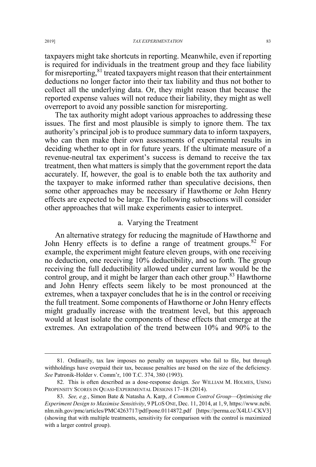taxpayers might take shortcuts in reporting. Meanwhile, even if reporting is required for individuals in the treatment group and they face liability for misreporting, <sup>81</sup> treated taxpayers might reason that their entertainment deductions no longer factor into their tax liability and thus not bother to collect all the underlying data. Or, they might reason that because the reported expense values will not reduce their liability, they might as well overreport to avoid any possible sanction for misreporting.

The tax authority might adopt various approaches to addressing these issues. The first and most plausible is simply to ignore them. The tax authority's principal job is to produce summary data to inform taxpayers, who can then make their own assessments of experimental results in deciding whether to opt in for future years. If the ultimate measure of a revenue-neutral tax experiment's success is demand to receive the tax treatment, then what matters is simply that the government report the data accurately. If, however, the goal is to enable both the tax authority and the taxpayer to make informed rather than speculative decisions, then some other approaches may be necessary if Hawthorne or John Henry effects are expected to be large. The following subsections will consider other approaches that will make experiments easier to interpret.

### a. Varying the Treatment

An alternative strategy for reducing the magnitude of Hawthorne and John Henry effects is to define a range of treatment groups.<sup>82</sup> For example, the experiment might feature eleven groups, with one receiving no deduction, one receiving 10% deductibility, and so forth. The group receiving the full deductibility allowed under current law would be the control group, and it might be larger than each other group.<sup>83</sup> Hawthorne and John Henry effects seem likely to be most pronounced at the extremes, when a taxpayer concludes that he is in the control or receiving the full treatment. Some components of Hawthorne or John Henry effects might gradually increase with the treatment level, but this approach would at least isolate the components of these effects that emerge at the extremes. An extrapolation of the trend between 10% and 90% to the

 <sup>81.</sup> Ordinarily, tax law imposes no penalty on taxpayers who fail to file, but through withholdings have overpaid their tax, because penalties are based on the size of the deficiency. *See* Patronik-Holder v. Comm'r, 100 T.C. 374, 380 (1993).

<sup>82.</sup> This is often described as a dose-response design. *See* WILLIAM M. HOLMES, USING PROPENSITY SCORES IN QUASI-EXPERIMENTAL DESIGNS 17–18 (2014).

<sup>83.</sup> *See, e.g.*, Simon Bate & Natasha A. Karp, *A Common Control Group—Optimising the Experiment Design to Maximise Sensitivity*, 9 PLOS ONE, Dec. 11, 2014, at 1, 9, https://www.ncbi. nlm.nih.gov/pmc/articles/PMC4263717/pdf/pone.0114872.pdf [https://perma.cc/X4LU-CKV3] (showing that with multiple treatments, sensitivity for comparison with the control is maximized with a larger control group).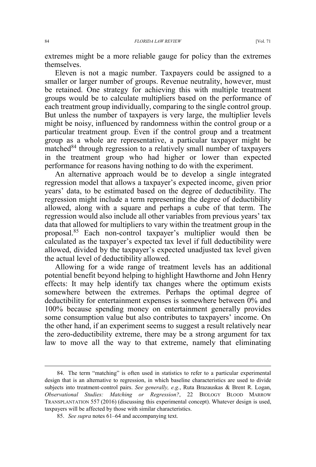extremes might be a more reliable gauge for policy than the extremes themselves.

Eleven is not a magic number. Taxpayers could be assigned to a smaller or larger number of groups. Revenue neutrality, however, must be retained. One strategy for achieving this with multiple treatment groups would be to calculate multipliers based on the performance of each treatment group individually, comparing to the single control group. But unless the number of taxpayers is very large, the multiplier levels might be noisy, influenced by randomness within the control group or a particular treatment group. Even if the control group and a treatment group as a whole are representative, a particular taxpayer might be matched<sup>84</sup> through regression to a relatively small number of taxpayers in the treatment group who had higher or lower than expected performance for reasons having nothing to do with the experiment.

An alternative approach would be to develop a single integrated regression model that allows a taxpayer's expected income, given prior years' data, to be estimated based on the degree of deductibility. The regression might include a term representing the degree of deductibility allowed, along with a square and perhaps a cube of that term. The regression would also include all other variables from previous years' tax data that allowed for multipliers to vary within the treatment group in the proposal.<sup>85</sup> Each non-control taxpayer's multiplier would then be calculated as the taxpayer's expected tax level if full deductibility were allowed, divided by the taxpayer's expected unadjusted tax level given the actual level of deductibility allowed.

Allowing for a wide range of treatment levels has an additional potential benefit beyond helping to highlight Hawthorne and John Henry effects: It may help identify tax changes where the optimum exists somewhere between the extremes. Perhaps the optimal degree of deductibility for entertainment expenses is somewhere between 0% and 100% because spending money on entertainment generally provides some consumption value but also contributes to taxpayers' income. On the other hand, if an experiment seems to suggest a result relatively near the zero-deductibility extreme, there may be a strong argument for tax law to move all the way to that extreme, namely that eliminating

 <sup>84.</sup> The term "matching" is often used in statistics to refer to a particular experimental design that is an alternative to regression, in which baseline characteristics are used to divide subjects into treatment-control pairs. *See generally, e.g.*, Ruta Brazauskas & Brent R. Logan, *Observational Studies: Matching or Regression?*, 22 BIOLOGY BLOOD MARROW TRANSPLANTATION 557 (2016) (discussing this experimental concept). Whatever design is used, taxpayers will be affected by those with similar characteristics.

<sup>85.</sup> *See supra* notes 61–64 and accompanying text.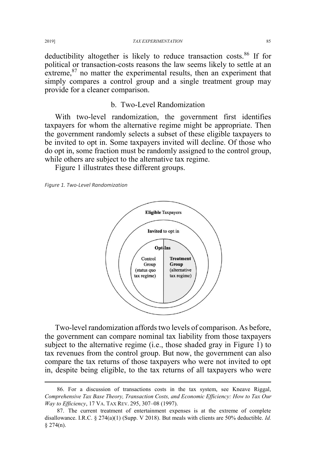deductibility altogether is likely to reduce transaction costs.<sup>86</sup> If for political or transaction-costs reasons the law seems likely to settle at an extreme, $87$  no matter the experimental results, then an experiment that simply compares a control group and a single treatment group may provide for a cleaner comparison.

# b. Two-Level Randomization

With two-level randomization, the government first identifies taxpayers for whom the alternative regime might be appropriate. Then the government randomly selects a subset of these eligible taxpayers to be invited to opt in. Some taxpayers invited will decline. Of those who do opt in, some fraction must be randomly assigned to the control group, while others are subject to the alternative tax regime.

Figure 1 illustrates these different groups.

*Figure 1. Two-Level Randomization* 



Two-level randomization affords two levels of comparison. As before, the government can compare nominal tax liability from those taxpayers subject to the alternative regime (i.e., those shaded gray in Figure 1) to tax revenues from the control group. But now, the government can also compare the tax returns of those taxpayers who were not invited to opt in, despite being eligible, to the tax returns of all taxpayers who were

 <sup>86.</sup> For a discussion of transactions costs in the tax system, see Kneave Riggal, *Comprehensive Tax Base Theory, Transaction Costs, and Economic Efficiency: How to Tax Our Way to Efficiency*, 17 VA. TAX REV. 295, 307–08 (1997).

<sup>87.</sup> The current treatment of entertainment expenses is at the extreme of complete disallowance. I.R.C. § 274(a)(1) (Supp. V 2018). But meals with clients are 50% deductible. *Id.*   $§$  274(n).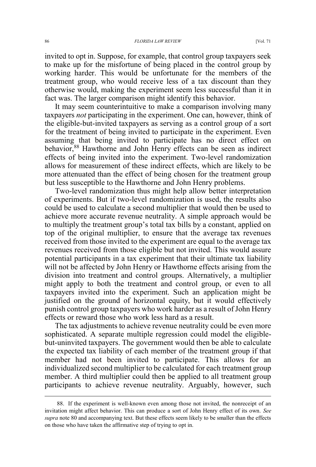invited to opt in. Suppose, for example, that control group taxpayers seek to make up for the misfortune of being placed in the control group by working harder. This would be unfortunate for the members of the treatment group, who would receive less of a tax discount than they otherwise would, making the experiment seem less successful than it in fact was. The larger comparison might identify this behavior.

It may seem counterintuitive to make a comparison involving many taxpayers *not* participating in the experiment. One can, however, think of the eligible-but-invited taxpayers as serving as a control group of a sort for the treatment of being invited to participate in the experiment. Even assuming that being invited to participate has no direct effect on behavior,<sup>88</sup> Hawthorne and John Henry effects can be seen as indirect effects of being invited into the experiment. Two-level randomization allows for measurement of these indirect effects, which are likely to be more attenuated than the effect of being chosen for the treatment group but less susceptible to the Hawthorne and John Henry problems.

Two-level randomization thus might help allow better interpretation of experiments. But if two-level randomization is used, the results also could be used to calculate a second multiplier that would then be used to achieve more accurate revenue neutrality. A simple approach would be to multiply the treatment group's total tax bills by a constant, applied on top of the original multiplier, to ensure that the average tax revenues received from those invited to the experiment are equal to the average tax revenues received from those eligible but not invited. This would assure potential participants in a tax experiment that their ultimate tax liability will not be affected by John Henry or Hawthorne effects arising from the division into treatment and control groups. Alternatively, a multiplier might apply to both the treatment and control group, or even to all taxpayers invited into the experiment. Such an application might be justified on the ground of horizontal equity, but it would effectively punish control group taxpayers who work harder as a result of John Henry effects or reward those who work less hard as a result.

The tax adjustments to achieve revenue neutrality could be even more sophisticated. A separate multiple regression could model the eligiblebut-uninvited taxpayers. The government would then be able to calculate the expected tax liability of each member of the treatment group if that member had not been invited to participate. This allows for an individualized second multiplier to be calculated for each treatment group member. A third multiplier could then be applied to all treatment group participants to achieve revenue neutrality. Arguably, however, such

 <sup>88.</sup> If the experiment is well-known even among those not invited, the nonreceipt of an invitation might affect behavior. This can produce a sort of John Henry effect of its own. *See supra* note 80 and accompanying text. But these effects seem likely to be smaller than the effects on those who have taken the affirmative step of trying to opt in.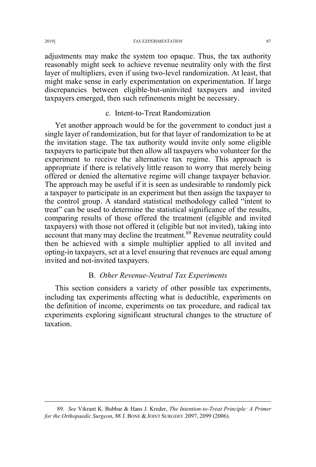adjustments may make the system too opaque. Thus, the tax authority reasonably might seek to achieve revenue neutrality only with the first layer of multipliers, even if using two-level randomization. At least, that might make sense in early experimentation on experimentation. If large discrepancies between eligible-but-uninvited taxpayers and invited taxpayers emerged, then such refinements might be necessary.

# c. Intent-to-Treat Randomization

Yet another approach would be for the government to conduct just a single layer of randomization, but for that layer of randomization to be at the invitation stage. The tax authority would invite only some eligible taxpayers to participate but then allow all taxpayers who volunteer for the experiment to receive the alternative tax regime. This approach is appropriate if there is relatively little reason to worry that merely being offered or denied the alternative regime will change taxpayer behavior. The approach may be useful if it is seen as undesirable to randomly pick a taxpayer to participate in an experiment but then assign the taxpayer to the control group. A standard statistical methodology called "intent to treat" can be used to determine the statistical significance of the results, comparing results of those offered the treatment (eligible and invited taxpayers) with those not offered it (eligible but not invited), taking into account that many may decline the treatment.<sup>89</sup> Revenue neutrality could then be achieved with a simple multiplier applied to all invited and opting-in taxpayers, set at a level ensuring that revenues are equal among invited and not-invited taxpayers.

# B. *Other Revenue-Neutral Tax Experiments*

This section considers a variety of other possible tax experiments, including tax experiments affecting what is deductible, experiments on the definition of income, experiments on tax procedure, and radical tax experiments exploring significant structural changes to the structure of taxation.

 <sup>89.</sup> *See* Vikrant K. Bubbar & Hans J. Kreder, *The Intention-to-Treat Principle: A Primer for the Orthopaedic Surgeon*, 88 J. BONE & JOINT SURGERY 2097, 2099 (2006).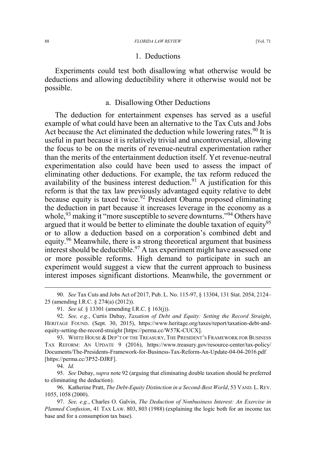#### 88 *FLORIDA LAW REVIEW* [Vol. 71

#### 1. Deductions

Experiments could test both disallowing what otherwise would be deductions and allowing deductibility where it otherwise would not be possible.

# a. Disallowing Other Deductions

The deduction for entertainment expenses has served as a useful example of what could have been an alternative to the Tax Cuts and Jobs Act because the Act eliminated the deduction while lowering rates.  $90$  It is useful in part because it is relatively trivial and uncontroversial, allowing the focus to be on the merits of revenue-neutral experimentation rather than the merits of the entertainment deduction itself. Yet revenue-neutral experimentation also could have been used to assess the impact of eliminating other deductions. For example, the tax reform reduced the availability of the business interest deduction.<sup>91</sup> A justification for this reform is that the tax law previously advantaged equity relative to debt because equity is taxed twice.<sup>92</sup> President Obama proposed eliminating the deduction in part because it increases leverage in the economy as a whole,<sup>93</sup> making it "more susceptible to severe downturns."<sup>94</sup> Others have argued that it would be better to eliminate the double taxation of equity<sup>95</sup> or to allow a deduction based on a corporation's combined debt and equity.<sup>96</sup> Meanwhile, there is a strong theoretical argument that business interest should be deductible.<sup>97</sup> A tax experiment might have assessed one or more possible reforms. High demand to participate in such an experiment would suggest a view that the current approach to business interest imposes significant distortions. Meanwhile, the government or

 90. *See* Tax Cuts and Jobs Act of 2017, Pub. L. No. 115-97, § 13304, 131 Stat. 2054, 2124– 25 (amending I.R.C. § 274(a) (2012)).

94. *Id.*

95. *See* Dubay, *supra* note 92 (arguing that eliminating double taxation should be preferred to eliminating the deduction).

96. Katherine Pratt, *The Debt-Equity Distinction in a Second-Best World*, 53 VAND. L. REV. 1055, 1058 (2000).

97. *See, e.g.*, Charles O. Galvin, *The Deduction of Nonbusiness Interest: An Exercise in Planned Confusion*, 41 TAX LAW. 803, 803 (1988) (explaining the logic both for an income tax base and for a consumption tax base).

<sup>91.</sup> *See id.* § 13301 (amending I.R.C. § 163(j)).

<sup>92.</sup> *See, e.g.*, Curtis Dubay, *Taxation of Debt and Equity: Setting the Record Straight*, HERITAGE FOUND. (Sept. 30, 2015), https://www.heritage.org/taxes/report/taxation-debt-andequity-setting-the-record-straight [https://perma.cc/W57K-CUCX].

<sup>93.</sup> WHITE HOUSE & DEP'T OF THE TREASURY, THE PRESIDENT'S FRAMEWORK FOR BUSINESS TAX REFORM: AN UPDATE 9 (2016), https://www.treasury.gov/resource-center/tax-policy/ Documents/The-Presidents-Framework-for-Business-Tax-Reform-An-Update-04-04-2016.pdf [https://perma.cc/3P52-DJRF].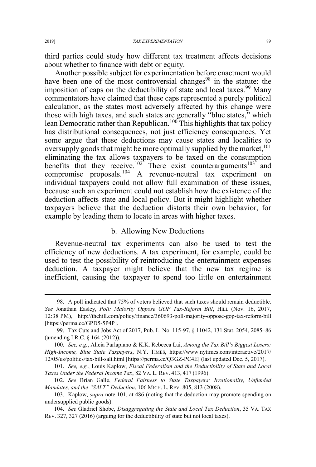third parties could study how different tax treatment affects decisions about whether to finance with debt or equity.

Another possible subject for experimentation before enactment would have been one of the most controversial changes<sup>98</sup> in the statute: the imposition of caps on the deductibility of state and local taxes.<sup>99</sup> Many commentators have claimed that these caps represented a purely political calculation, as the states most adversely affected by this change were those with high taxes, and such states are generally "blue states," which lean Democratic rather than Republican.<sup>100</sup> This highlights that tax policy has distributional consequences, not just efficiency consequences. Yet some argue that these deductions may cause states and localities to oversupply goods that might be more optimally supplied by the market,  $^{101}$ eliminating the tax allows taxpayers to be taxed on the consumption benefits that they receive.<sup>102</sup> There exist counterarguments<sup>103</sup> and compromise proposals.<sup>104</sup> A revenue-neutral tax experiment on individual taxpayers could not allow full examination of these issues, because such an experiment could not establish how the existence of the deduction affects state and local policy. But it might highlight whether taxpayers believe that the deduction distorts their own behavior, for example by leading them to locate in areas with higher taxes.

### b. Allowing New Deductions

Revenue-neutral tax experiments can also be used to test the efficiency of new deductions. A tax experiment, for example, could be used to test the possibility of reintroducing the entertainment expenses deduction. A taxpayer might believe that the new tax regime is inefficient, causing the taxpayer to spend too little on entertainment

 <sup>98.</sup> A poll indicated that 75% of voters believed that such taxes should remain deductible. *See* Jonathan Easley, *Poll: Majority Oppose GOP Tax-Reform Bill*, HILL (Nov. 16, 2017, 12:38 PM), http://thehill.com/policy/finance/360693-poll-majority-oppose-gop-tax-reform-bill [https://perma.cc/GPD5-5P4P].

<sup>99.</sup> Tax Cuts and Jobs Act of 2017, Pub. L. No. 115-97, § 11042, 131 Stat. 2054, 2085–86 (amending I.R.C. § 164 (2012)).

<sup>100.</sup> *See, e.g.*, Alicia Parlapiano & K.K. Rebecca Lai, *Among the Tax Bill's Biggest Losers: High-Income, Blue State Taxpayers*, N.Y. TIMES, https://www.nytimes.com/interactive/2017/ 12/05/us/politics/tax-bill-salt.html [https://perma.cc/Q3GZ-PC4E] (last updated Dec. 5, 2017).

<sup>101.</sup> *See, e.g.*, Louis Kaplow, *Fiscal Federalism and the Deductibility of State and Local Taxes Under the Federal Income Tax*, 82 VA. L. REV. 413, 417 (1996).

<sup>102.</sup> *See* Brian Galle, *Federal Fairness to State Taxpayers: Irrationality, Unfunded Mandates, and the "SALT" Deduction*, 106 MICH. L. REV. 805, 813 (2008).

<sup>103.</sup> Kaplow, *supra* note 101, at 486 (noting that the deduction may promote spending on undersupplied public goods).

<sup>104.</sup> *See* Gladriel Shobe, *Disaggregating the State and Local Tax Deduction*, 35 VA. TAX REV. 327, 327 (2016) (arguing for the deductibility of state but not local taxes).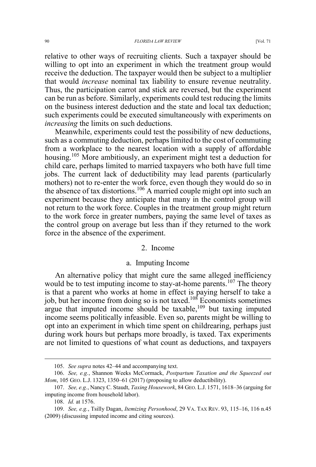relative to other ways of recruiting clients. Such a taxpayer should be willing to opt into an experiment in which the treatment group would receive the deduction. The taxpayer would then be subject to a multiplier that would *increase* nominal tax liability to ensure revenue neutrality. Thus, the participation carrot and stick are reversed, but the experiment can be run as before. Similarly, experiments could test reducing the limits on the business interest deduction and the state and local tax deduction; such experiments could be executed simultaneously with experiments on *increasing* the limits on such deductions.

Meanwhile, experiments could test the possibility of new deductions, such as a commuting deduction, perhaps limited to the cost of commuting from a workplace to the nearest location with a supply of affordable housing.<sup>105</sup> More ambitiously, an experiment might test a deduction for child care, perhaps limited to married taxpayers who both have full time jobs. The current lack of deductibility may lead parents (particularly mothers) not to re-enter the work force, even though they would do so in the absence of tax distortions.<sup>106</sup> A married couple might opt into such an experiment because they anticipate that many in the control group will not return to the work force. Couples in the treatment group might return to the work force in greater numbers, paying the same level of taxes as the control group on average but less than if they returned to the work force in the absence of the experiment.

#### 2. Income

#### a. Imputing Income

An alternative policy that might cure the same alleged inefficiency would be to test imputing income to stay-at-home parents.<sup>107</sup> The theory is that a parent who works at home in effect is paying herself to take a job, but her income from doing so is not taxed.108 Economists sometimes argue that imputed income should be taxable,<sup>109</sup> but taxing imputed income seems politically infeasible. Even so, parents might be willing to opt into an experiment in which time spent on childrearing, perhaps just during work hours but perhaps more broadly, is taxed. Tax experiments are not limited to questions of what count as deductions, and taxpayers

 <sup>105.</sup> *See supra* notes 42–44 and accompanying text.

<sup>106.</sup> *See, e.g.*, Shannon Weeks McCormack, *Postpartum Taxation and the Squeezed out Mom*, 105 GEO. L.J. 1323, 1350–61 (2017) (proposing to allow deductibility).

<sup>107.</sup> *See, e.g.*, Nancy C. Staudt, *Taxing Housework*, 84 GEO. L.J. 1571, 1618–36 (arguing for imputing income from household labor).

<sup>108.</sup> *Id.* at 1576.

<sup>109.</sup> *See, e.g.*, Tsilly Dagan, *Itemizing Personhood*, 29 VA. TAX REV. 93, 115–16, 116 n.45 (2009) (discussing imputed income and citing sources).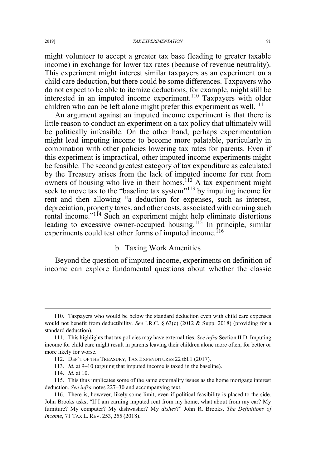might volunteer to accept a greater tax base (leading to greater taxable income) in exchange for lower tax rates (because of revenue neutrality). This experiment might interest similar taxpayers as an experiment on a child care deduction, but there could be some differences. Taxpayers who do not expect to be able to itemize deductions, for example, might still be interested in an imputed income experiment.<sup>110</sup> Taxpayers with older children who can be left alone might prefer this experiment as well.<sup>111</sup>

An argument against an imputed income experiment is that there is little reason to conduct an experiment on a tax policy that ultimately will be politically infeasible. On the other hand, perhaps experimentation might lead imputing income to become more palatable, particularly in combination with other policies lowering tax rates for parents. Even if this experiment is impractical, other imputed income experiments might be feasible. The second greatest category of tax expenditure as calculated by the Treasury arises from the lack of imputed income for rent from owners of housing who live in their homes.<sup>112</sup> A tax experiment might seek to move tax to the "baseline tax system"<sup>113</sup> by imputing income for rent and then allowing "a deduction for expenses, such as interest, depreciation, property taxes, and other costs, associated with earning such rental income."<sup>114</sup> Such an experiment might help eliminate distortions leading to excessive owner-occupied housing.<sup>115</sup> In principle, similar experiments could test other forms of imputed income.<sup>116</sup>

# b. Taxing Work Amenities

Beyond the question of imputed income, experiments on definition of income can explore fundamental questions about whether the classic

 <sup>110.</sup> Taxpayers who would be below the standard deduction even with child care expenses would not benefit from deductibility. *See* I.R.C. § 63(c) (2012 & Supp. 2018) (providing for a standard deduction).

<sup>111.</sup> This highlights that tax policies may have externalities. *See infra* Section II.D. Imputing income for child care might result in parents leaving their children alone more often, for better or more likely for worse.

<sup>112.</sup> DEP'T OF THE TREASURY, TAX EXPENDITURES 22 tbl.1 (2017).

<sup>113.</sup> *Id.* at 9–10 (arguing that imputed income is taxed in the baseline).

<sup>114.</sup> *Id.* at 10.

<sup>115.</sup> This thus implicates some of the same externality issues as the home mortgage interest deduction. *See infra* notes 227–30 and accompanying text.

<sup>116.</sup> There is, however, likely some limit, even if political feasibility is placed to the side. John Brooks asks, "If I am earning imputed rent from my home, what about from my car? My furniture? My computer? My dishwasher? My *dishes*?" John R. Brooks, *The Definitions of Income*, 71 TAX L. REV. 253, 255 (2018).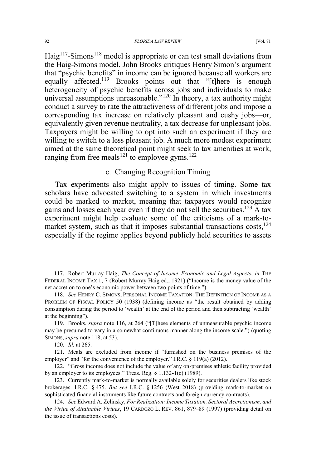Haig<sup>117</sup>-Simons<sup>118</sup> model is appropriate or can test small deviations from the Haig-Simons model. John Brooks critiques Henry Simon's argument that "psychic benefits" in income can be ignored because all workers are equally affected.<sup>119</sup> Brooks points out that "[t]here is enough heterogeneity of psychic benefits across jobs and individuals to make universal assumptions unreasonable."<sup>120</sup> In theory, a tax authority might conduct a survey to rate the attractiveness of different jobs and impose a corresponding tax increase on relatively pleasant and cushy jobs—or, equivalently given revenue neutrality, a tax decrease for unpleasant jobs. Taxpayers might be willing to opt into such an experiment if they are willing to switch to a less pleasant job. A much more modest experiment aimed at the same theoretical point might seek to tax amenities at work, ranging from free meals<sup>121</sup> to employee gyms.<sup>122</sup>

# c. Changing Recognition Timing

Tax experiments also might apply to issues of timing. Some tax scholars have advocated switching to a system in which investments could be marked to market, meaning that taxpayers would recognize gains and losses each year even if they do not sell the securities.<sup>123</sup> A tax experiment might help evaluate some of the criticisms of a mark-tomarket system, such as that it imposes substantial transactions  $costs$ ,  $^{124}$ especially if the regime applies beyond publicly held securities to assets

 <sup>117.</sup> Robert Murray Haig, *The Concept of Income–Economic and Legal Aspects*, *in* THE FEDERAL INCOME TAX 1, 7 (Robert Murray Haig ed., 1921) ("Income is the money value of the net accretion to one's economic power between two points of time.").

<sup>118.</sup> *See* HENRY C. SIMONS, PERSONAL INCOME TAXATION: THE DEFINITION OF INCOME AS A PROBLEM OF FISCAL POLICY 50 (1938) (defining income as "the result obtained by adding consumption during the period to 'wealth' at the end of the period and then subtracting 'wealth' at the beginning").

<sup>119.</sup> Brooks, *supra* note 116, at 264 ("[T]hese elements of unmeasurable psychic income may be presumed to vary in a somewhat continuous manner along the income scale.") (quoting SIMONS, *supra* note 118, at 53).

<sup>120.</sup> *Id.* at 265.

<sup>121.</sup> Meals are excluded from income if "furnished on the business premises of the employer" and "for the convenience of the employer." I.R.C. § 119(a) (2012).

<sup>122.</sup> "Gross income does not include the value of any on-premises athletic facility provided by an employer to its employees." Treas. Reg. § 1.132-1(e) (1989).

<sup>123.</sup> Currently mark-to-market is normally available solely for securities dealers like stock brokerages. I.R.C. § 475. *But see* I.R.C. § 1256 (West 2018) (providing mark-to-market on sophisticated financial instruments like future contracts and foreign currency contracts).

<sup>124.</sup> *See* Edward A. Zelinsky, *For Realization: Income Taxation, Sectoral Accretionism, and the Virtue of Attainable Virtues*, 19 CARDOZO L. REV. 861, 879–89 (1997) (providing detail on the issue of transactions costs).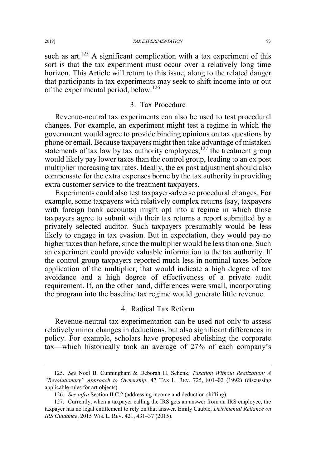such as art.<sup>125</sup> A significant complication with a tax experiment of this sort is that the tax experiment must occur over a relatively long time horizon. This Article will return to this issue, along to the related danger that participants in tax experiments may seek to shift income into or out of the experimental period, below.<sup>126</sup>

# 3. Tax Procedure

Revenue-neutral tax experiments can also be used to test procedural changes. For example, an experiment might test a regime in which the government would agree to provide binding opinions on tax questions by phone or email. Because taxpayers might then take advantage of mistaken statements of tax law by tax authority employees, $127$  the treatment group would likely pay lower taxes than the control group, leading to an ex post multiplier increasing tax rates. Ideally, the ex post adjustment should also compensate for the extra expenses borne by the tax authority in providing extra customer service to the treatment taxpayers.

Experiments could also test taxpayer-adverse procedural changes. For example, some taxpayers with relatively complex returns (say, taxpayers with foreign bank accounts) might opt into a regime in which those taxpayers agree to submit with their tax returns a report submitted by a privately selected auditor. Such taxpayers presumably would be less likely to engage in tax evasion. But in expectation, they would pay no higher taxes than before, since the multiplier would be less than one. Such an experiment could provide valuable information to the tax authority. If the control group taxpayers reported much less in nominal taxes before application of the multiplier, that would indicate a high degree of tax avoidance and a high degree of effectiveness of a private audit requirement. If, on the other hand, differences were small, incorporating the program into the baseline tax regime would generate little revenue.

# 4. Radical Tax Reform

Revenue-neutral tax experimentation can be used not only to assess relatively minor changes in deductions, but also significant differences in policy. For example, scholars have proposed abolishing the corporate tax—which historically took an average of 27% of each company's

 <sup>125.</sup> *See* Noel B. Cunningham & Deborah H. Schenk, *Taxation Without Realization: A "Revolutionary" Approach to Ownership*, 47 TAX L. REV. 725, 801–02 (1992) (discussing applicable rules for art objects).

<sup>126.</sup> *See infra* Section II.C.2 (addressing income and deduction shifting).

<sup>127.</sup> Currently, when a taxpayer calling the IRS gets an answer from an IRS employee, the taxpayer has no legal entitlement to rely on that answer. Emily Cauble, *Detrimental Reliance on IRS Guidance*, 2015 WIS. L. REV. 421, 431–37 (2015).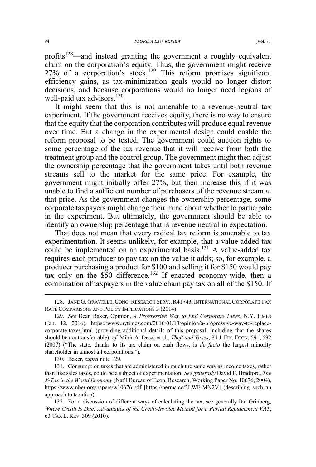profits<sup>128</sup>—and instead granting the government a roughly equivalent claim on the corporation's equity. Thus, the government might receive 27% of a corporation's stock.<sup>129</sup> This reform promises significant efficiency gains, as tax-minimization goals would no longer distort decisions, and because corporations would no longer need legions of well-paid tax advisors.<sup>130</sup>

It might seem that this is not amenable to a revenue-neutral tax experiment. If the government receives equity, there is no way to ensure that the equity that the corporation contributes will produce equal revenue over time. But a change in the experimental design could enable the reform proposal to be tested. The government could auction rights to some percentage of the tax revenue that it will receive from both the treatment group and the control group. The government might then adjust the ownership percentage that the government takes until both revenue streams sell to the market for the same price. For example, the government might initially offer 27%, but then increase this if it was unable to find a sufficient number of purchasers of the revenue stream at that price. As the government changes the ownership percentage, some corporate taxpayers might change their mind about whether to participate in the experiment. But ultimately, the government should be able to identify an ownership percentage that is revenue neutral in expectation.

That does not mean that every radical tax reform is amenable to tax experimentation. It seems unlikely, for example, that a value added tax could be implemented on an experimental basis.<sup>131</sup> A value-added tax requires each producer to pay tax on the value it adds; so, for example, a producer purchasing a product for \$100 and selling it for \$150 would pay tax only on the  $$50$  difference.<sup>132</sup> If enacted economy-wide, then a combination of taxpayers in the value chain pay tax on all of the \$150. If

130. Baker, *supra* note 129.

 <sup>128.</sup> JANE G. GRAVELLE, CONG. RESEARCH SERV., R41743, INTERNATIONAL CORPORATE TAX RATE COMPARISONS AND POLICY IMPLICATIONS 3 (2014).

<sup>129.</sup> *See* Dean Baker, Opinion, *A Progressive Way to End Corporate Taxes*, N.Y. TIMES (Jan. 12, 2016), https://www.nytimes.com/2016/01/13/opinion/a-progressive-way-to-replacecorporate-taxes.html (providing additional details of this proposal, including that the shares should be nontransferrable); *cf.* Mihir A. Desai et al., *Theft and Taxes*, 84 J. FIN. ECON. 591, 592 (2007) ("The state, thanks to its tax claim on cash flows, is *de facto* the largest minority shareholder in almost all corporations.").

<sup>131.</sup> Consumption taxes that are administered in much the same way as income taxes, rather than like sales taxes, could be a subject of experimentation. *See generally* David F. Bradford, *The X-Tax in the World Economy* (Nat'l Bureau of Econ. Research, Working Paper No. 10676, 2004), https://www.nber.org/papers/w10676.pdf [https://perma.cc/2LWF-MN2V] (describing such an approach to taxation).

<sup>132.</sup> For a discussion of different ways of calculating the tax, see generally Itai Grinberg, *Where Credit Is Due: Advantages of the Credit-Invoice Method for a Partial Replacement VAT*, 63 TAX L. REV. 309 (2010).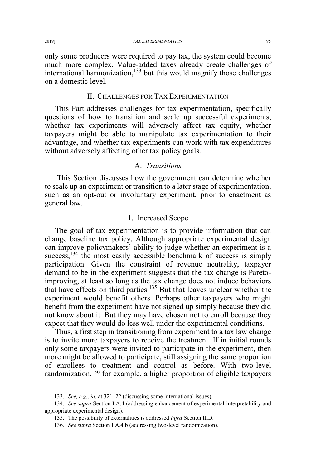only some producers were required to pay tax, the system could become much more complex. Value-added taxes already create challenges of international harmonization, $133$  but this would magnify those challenges on a domestic level.

### II. CHALLENGES FOR TAX EXPERIMENTATION

This Part addresses challenges for tax experimentation, specifically questions of how to transition and scale up successful experiments, whether tax experiments will adversely affect tax equity, whether taxpayers might be able to manipulate tax experimentation to their advantage, and whether tax experiments can work with tax expenditures without adversely affecting other tax policy goals.

### A. *Transitions*

This Section discusses how the government can determine whether to scale up an experiment or transition to a later stage of experimentation, such as an opt-out or involuntary experiment, prior to enactment as general law.

#### 1. Increased Scope

The goal of tax experimentation is to provide information that can change baseline tax policy. Although appropriate experimental design can improve policymakers' ability to judge whether an experiment is a success, $134$  the most easily accessible benchmark of success is simply participation. Given the constraint of revenue neutrality, taxpayer demand to be in the experiment suggests that the tax change is Paretoimproving, at least so long as the tax change does not induce behaviors that have effects on third parties.<sup>135</sup> But that leaves unclear whether the experiment would benefit others. Perhaps other taxpayers who might benefit from the experiment have not signed up simply because they did not know about it. But they may have chosen not to enroll because they expect that they would do less well under the experimental conditions.

Thus, a first step in transitioning from experiment to a tax law change is to invite more taxpayers to receive the treatment. If in initial rounds only some taxpayers were invited to participate in the experiment, then more might be allowed to participate, still assigning the same proportion of enrollees to treatment and control as before. With two-level randomization,<sup>136</sup> for example, a higher proportion of eligible taxpayers

 <sup>133.</sup> *See, e.g.*, *id.* at 321–22 (discussing some international issues).

<sup>134.</sup> *See supra* Section I.A.4 (addressing enhancement of experimental interpretability and appropriate experimental design).

<sup>135.</sup> The possibility of externalities is addressed *infra* Section II.D.

<sup>136.</sup> *See supra* Section I.A.4.b (addressing two-level randomization).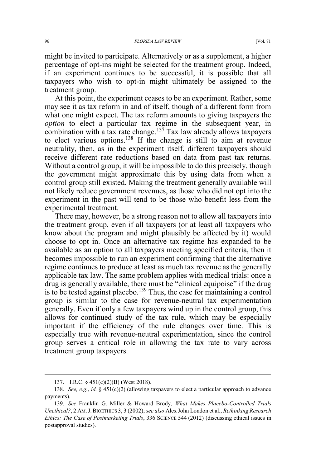might be invited to participate. Alternatively or as a supplement, a higher percentage of opt-ins might be selected for the treatment group. Indeed, if an experiment continues to be successful, it is possible that all taxpayers who wish to opt-in might ultimately be assigned to the treatment group.

At this point, the experiment ceases to be an experiment. Rather, some may see it as tax reform in and of itself, though of a different form from what one might expect. The tax reform amounts to giving taxpayers the *option* to elect a particular tax regime in the subsequent year, in combination with a tax rate change.<sup>137</sup> Tax law already allows taxpayers to elect various options.<sup>138</sup> If the change is still to aim at revenue neutrality, then, as in the experiment itself, different taxpayers should receive different rate reductions based on data from past tax returns. Without a control group, it will be impossible to do this precisely, though the government might approximate this by using data from when a control group still existed. Making the treatment generally available will not likely reduce government revenues, as those who did not opt into the experiment in the past will tend to be those who benefit less from the experimental treatment.

There may, however, be a strong reason not to allow all taxpayers into the treatment group, even if all taxpayers (or at least all taxpayers who know about the program and might plausibly be affected by it) would choose to opt in. Once an alternative tax regime has expanded to be available as an option to all taxpayers meeting specified criteria, then it becomes impossible to run an experiment confirming that the alternative regime continues to produce at least as much tax revenue as the generally applicable tax law. The same problem applies with medical trials: once a drug is generally available, there must be "clinical equipoise" if the drug is to be tested against placebo.<sup>139</sup> Thus, the case for maintaining a control group is similar to the case for revenue-neutral tax experimentation generally. Even if only a few taxpayers wind up in the control group, this allows for continued study of the tax rule, which may be especially important if the efficiency of the rule changes over time. This is especially true with revenue-neutral experimentation, since the control group serves a critical role in allowing the tax rate to vary across treatment group taxpayers.

 <sup>137.</sup> I.R.C. § 451(c)(2)(B) (West 2018).

<sup>138.</sup> *See, e.g.*, *id.* § 451(c)(2) (allowing taxpayers to elect a particular approach to advance payments).

<sup>139.</sup> *See* Franklin G. Miller & Howard Brody, *What Makes Placebo-Controlled Trials Unethical?*, 2 AM. J. BIOETHICS 3, 3 (2002);*see also* Alex John London et al., *Rethinking Research Ethics: The Case of Postmarketing Trials*, 336 SCIENCE 544 (2012) (discussing ethical issues in postapproval studies).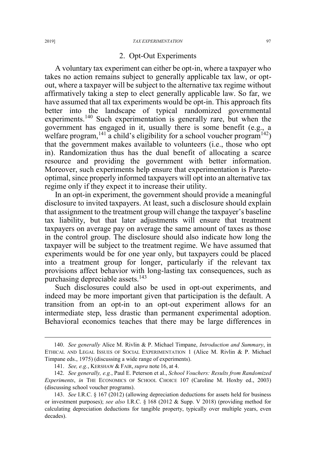#### 2. Opt-Out Experiments

A voluntary tax experiment can either be opt-in, where a taxpayer who takes no action remains subject to generally applicable tax law, or optout, where a taxpayer will be subject to the alternative tax regime without affirmatively taking a step to elect generally applicable law. So far, we have assumed that all tax experiments would be opt-in. This approach fits better into the landscape of typical randomized governmental experiments.<sup>140</sup> Such experimentation is generally rare, but when the government has engaged in it, usually there is some benefit (e.g., a welfare program,  $^{141}$  a child's eligibility for a school voucher program  $^{142}$ ) that the government makes available to volunteers (i.e., those who opt in). Randomization thus has the dual benefit of allocating a scarce resource and providing the government with better information. Moreover, such experiments help ensure that experimentation is Paretooptimal, since properly informed taxpayers will opt into an alternative tax regime only if they expect it to increase their utility.

In an opt-in experiment, the government should provide a meaningful disclosure to invited taxpayers. At least, such a disclosure should explain that assignment to the treatment group will change the taxpayer's baseline tax liability, but that later adjustments will ensure that treatment taxpayers on average pay on average the same amount of taxes as those in the control group. The disclosure should also indicate how long the taxpayer will be subject to the treatment regime. We have assumed that experiments would be for one year only, but taxpayers could be placed into a treatment group for longer, particularly if the relevant tax provisions affect behavior with long-lasting tax consequences, such as purchasing depreciable assets.<sup>143</sup>

Such disclosures could also be used in opt-out experiments, and indeed may be more important given that participation is the default. A transition from an opt-in to an opt-out experiment allows for an intermediate step, less drastic than permanent experimental adoption. Behavioral economics teaches that there may be large differences in

 <sup>140.</sup> *See generally* Alice M. Rivlin & P. Michael Timpane, *Introduction and Summary*, in ETHICAL AND LEGAL ISSUES OF SOCIAL EXPERIMENTATION 1 (Alice M. Rivlin & P. Michael Timpane eds., 1975) (discussing a wide range of experiments).

<sup>141.</sup> *See, e.g.*, KERSHAW & FAIR, *supra* note 16, at 4.

<sup>142.</sup> *See generally, e.g.*, Paul E. Peterson et al., *School Vouchers: Results from Randomized Experiments*, *in* THE ECONOMICS OF SCHOOL CHOICE 107 (Caroline M. Hoxby ed., 2003) (discussing school voucher programs).

<sup>143.</sup> *See* I.R.C. § 167 (2012) (allowing depreciation deductions for assets held for business or investment purposes); *see also* I.R.C. § 168 (2012 & Supp. V 2018) (providing method for calculating depreciation deductions for tangible property, typically over multiple years, even decades).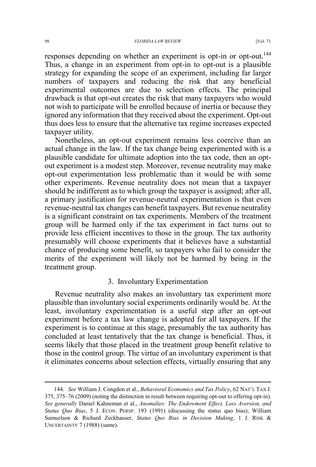#### 98 *FLORIDA LAW REVIEW* [Vol. 71

responses depending on whether an experiment is opt-in or opt-out.<sup>144</sup> Thus, a change in an experiment from opt-in to opt-out is a plausible strategy for expanding the scope of an experiment, including far larger numbers of taxpayers and reducing the risk that any beneficial experimental outcomes are due to selection effects. The principal drawback is that opt-out creates the risk that many taxpayers who would not wish to participate will be enrolled because of inertia or because they ignored any information that they received about the experiment. Opt-out thus does less to ensure that the alternative tax regime increases expected taxpayer utility.

Nonetheless, an opt-out experiment remains less coercive than an actual change in the law. If the tax change being experimented with is a plausible candidate for ultimate adoption into the tax code, then an optout experiment is a modest step. Moreover, revenue neutrality may make opt-out experimentation less problematic than it would be with some other experiments. Revenue neutrality does not mean that a taxpayer should be indifferent as to which group the taxpayer is assigned; after all, a primary justification for revenue-neutral experimentation is that even revenue-neutral tax changes can benefit taxpayers. But revenue neutrality is a significant constraint on tax experiments. Members of the treatment group will be harmed only if the tax experiment in fact turns out to provide less efficient incentives to those in the group. The tax authority presumably will choose experiments that it believes have a substantial chance of producing some benefit, so taxpayers who fail to consider the merits of the experiment will likely not be harmed by being in the treatment group.

#### 3. Involuntary Experimentation

Revenue neutrality also makes an involuntary tax experiment more plausible than involuntary social experiments ordinarily would be. At the least, involuntary experimentation is a useful step after an opt-out experiment before a tax law change is adopted for all taxpayers. If the experiment is to continue at this stage, presumably the tax authority has concluded at least tentatively that the tax change is beneficial. Thus, it seems likely that those placed in the treatment group benefit relative to those in the control group. The virtue of an involuntary experiment is that it eliminates concerns about selection effects, virtually ensuring that any

 <sup>144.</sup> *See* William J. Congdon et al., *Behavioral Economics and Tax Policy*, 62 NAT'<sup>L</sup> TAX J. 375, 375–76 (2009) (noting the distinction in result between requiring opt-out to offering opt-in). *See generally* Daniel Kahneman et al., *Anomalies: The Endowment Effect, Loss Aversion, and Status Quo Bias*, 5 J. ECON. PERSP. 193 (1991) (discussing the status quo bias); William Samuelson & Richard Zeckhauser, *Status Quo Bias in Decision Making*, 1 J. RISK & UNCERTAINTY 7 (1988) (same).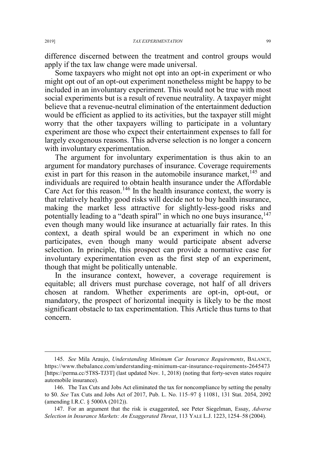difference discerned between the treatment and control groups would apply if the tax law change were made universal.

Some taxpayers who might not opt into an opt-in experiment or who might opt out of an opt-out experiment nonetheless might be happy to be included in an involuntary experiment. This would not be true with most social experiments but is a result of revenue neutrality. A taxpayer might believe that a revenue-neutral elimination of the entertainment deduction would be efficient as applied to its activities, but the taxpayer still might worry that the other taxpayers willing to participate in a voluntary experiment are those who expect their entertainment expenses to fall for largely exogenous reasons. This adverse selection is no longer a concern with involuntary experimentation.

The argument for involuntary experimentation is thus akin to an argument for mandatory purchases of insurance. Coverage requirements exist in part for this reason in the automobile insurance market,  $^{145}$  and individuals are required to obtain health insurance under the Affordable Care Act for this reason.<sup>146</sup> In the health insurance context, the worry is that relatively healthy good risks will decide not to buy health insurance, making the market less attractive for slightly-less-good risks and potentially leading to a "death spiral" in which no one buys insurance,  $147$ even though many would like insurance at actuarially fair rates. In this context, a death spiral would be an experiment in which no one participates, even though many would participate absent adverse selection. In principle, this prospect can provide a normative case for involuntary experimentation even as the first step of an experiment, though that might be politically untenable.

In the insurance context, however, a coverage requirement is equitable; all drivers must purchase coverage, not half of all drivers chosen at random. Whether experiments are opt-in, opt-out, or mandatory, the prospect of horizontal inequity is likely to be the most significant obstacle to tax experimentation. This Article thus turns to that concern.

 <sup>145.</sup> *See* Mila Araujo, *Understanding Minimum Car Insurance Requirements*, BALANCE, https://www.thebalance.com/understanding-minimum-car-insurance-requirements-2645473 [https://perma.cc/5T8S-TJ3T] (last updated Nov. 1, 2018) (noting that forty-seven states require automobile insurance).

<sup>146.</sup> The Tax Cuts and Jobs Act eliminated the tax for noncompliance by setting the penalty to \$0. *See* Tax Cuts and Jobs Act of 2017, Pub. L. No. 115–97 § 11081, 131 Stat. 2054, 2092 (amending I.R.C. § 5000A (2012)).

<sup>147.</sup> For an argument that the risk is exaggerated, see Peter Siegelman, Essay, *Adverse Selection in Insurance Markets: An Exaggerated Threat*, 113 YALE L.J. 1223, 1254–58 (2004).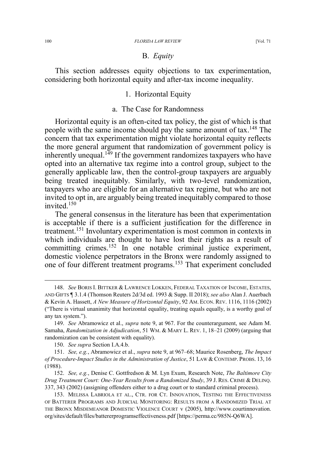# B. *Equity*

This section addresses equity objections to tax experimentation, considering both horizontal equity and after-tax income inequality.

#### 1. Horizontal Equity

# a. The Case for Randomness

Horizontal equity is an often-cited tax policy, the gist of which is that people with the same income should pay the same amount of tax.148 The concern that tax experimentation might violate horizontal equity reflects the more general argument that randomization of government policy is inherently unequal.<sup>149</sup> If the government randomizes taxpayers who have opted into an alternative tax regime into a control group, subject to the generally applicable law, then the control-group taxpayers are arguably being treated inequitably. Similarly, with two-level randomization, taxpayers who are eligible for an alternative tax regime, but who are not invited to opt in, are arguably being treated inequitably compared to those invited.150

The general consensus in the literature has been that experimentation is acceptable if there is a sufficient justification for the difference in treatment.<sup>151</sup> Involuntary experimentation is most common in contexts in which individuals are thought to have lost their rights as a result of committing crimes.<sup>152</sup> In one notable criminal justice experiment, domestic violence perpetrators in the Bronx were randomly assigned to one of four different treatment programs.<sup>153</sup> That experiment concluded

152. *See, e.g.*, Denise C. Gottfredson & M. Lyn Exum, Research Note, *The Baltimore City Drug Treatment Court: One-Year Results from a Randomized Study*, 39 J. RES. CRIME & DELINQ. 337, 343 (2002) (assigning offenders either to a drug court or to standard criminal process).

 <sup>148.</sup> *See* BORIS I. BITTKER & LAWRENCE LOKKEN, FEDERAL TAXATION OF INCOME, ESTATES, AND GIFTS ¶ 3.1.4 (Thomson Reuters 2d/3d ed. 1993 & Supp. II 2018); *see also* Alan J. Auerbach & Kevin A. Hassett, *A New Measure of Horizontal Equity*, 92 AM. ECON. REV. 1116, 1116 (2002) ("There is virtual unanimity that horizontal equality, treating equals equally, is a worthy goal of any tax system.").

<sup>149.</sup> *See* Abramowicz et al., *supra* note 9, at 967. For the counterargument, see Adam M. Samaha, *Randomization in Adjudication*, 51 WM.&MARY L. REV. 1, 18–21 (2009) (arguing that randomization can be consistent with equality).

<sup>150.</sup> *See supra* Section I.A.4.b.

<sup>151.</sup> *See, e.g.*, Abramowicz et al., *supra* note 9, at 967–68; Maurice Rosenberg, *The Impact of Procedure-Impact Studies in the Administration of Justice*, 51 LAW & CONTEMP. PROBS. 13, 16 (1988).

<sup>153.</sup> MELISSA LABRIOLA ET AL., CTR. FOR CT. INNOVATION, TESTING THE EFFECTIVENESS OF BATTERER PROGRAMS AND JUDICIAL MONITORING: RESULTS FROM A RANDOMIZED TRIAL AT THE BRONX MISDEMEANOR DOMESTIC VIOLENCE COURT v (2005), http://www.courtinnovation. org/sites/default/files/battererprogramseffectiveness.pdf [https://perma.cc/985N-Q6WA].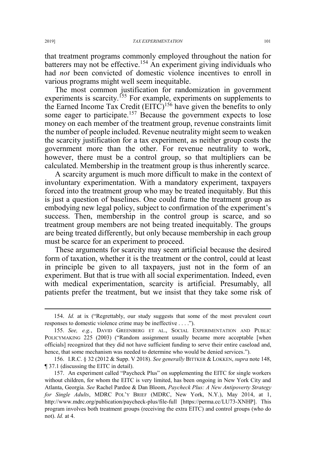that treatment programs commonly employed throughout the nation for batterers may not be effective.<sup>154</sup> An experiment giving individuals who had *not* been convicted of domestic violence incentives to enroll in various programs might well seem inequitable.

The most common justification for randomization in government experiments is scarcity.<sup>155</sup> For example, experiments on supplements to the Earned Income Tax Credit  $(EITC)^{156}$  have given the benefits to only some eager to participate.<sup>157</sup> Because the government expects to lose money on each member of the treatment group, revenue constraints limit the number of people included. Revenue neutrality might seem to weaken the scarcity justification for a tax experiment, as neither group costs the government more than the other. For revenue neutrality to work, however, there must be a control group, so that multipliers can be calculated. Membership in the treatment group is thus inherently scarce.

A scarcity argument is much more difficult to make in the context of involuntary experimentation. With a mandatory experiment, taxpayers forced into the treatment group who may be treated inequitably. But this is just a question of baselines. One could frame the treatment group as embodying new legal policy, subject to confirmation of the experiment's success. Then, membership in the control group is scarce, and so treatment group members are not being treated inequitably. The groups are being treated differently, but only because membership in each group must be scarce for an experiment to proceed.

These arguments for scarcity may seem artificial because the desired form of taxation, whether it is the treatment or the control, could at least in principle be given to all taxpayers, just not in the form of an experiment. But that is true with all social experimentation. Indeed, even with medical experimentation, scarcity is artificial. Presumably, all patients prefer the treatment, but we insist that they take some risk of

 <sup>154.</sup> *Id.* at ix ("Regrettably, our study suggests that some of the most prevalent court responses to domestic violence crime may be ineffective . . . .").

<sup>155.</sup> *See, e.g.*, DAVID GREENBERG ET AL., SOCIAL EXPERIMENTATION AND PUBLIC POLICYMAKING 225 (2003) ("Random assignment usually became more acceptable [when officials] recognized that they did not have sufficient funding to serve their entire caseload and, hence, that some mechanism was needed to determine who would be denied services.").

<sup>156.</sup> I.R.C. § 32 (2012 & Supp. V 2018). *See generally* BITTKER & LOKKEN, *supra* note 148, ¶ 37.1 (discussing the EITC in detail).

<sup>157.</sup> An experiment called "Paycheck Plus" on supplementing the EITC for single workers without children, for whom the EITC is very limited, has been ongoing in New York City and Atlanta, Georgia. *See* Rachel Pardoe & Dan Bloom, *Paycheck Plus: A New Antipoverty Strategy for Single Adults*, MDRC POL'Y BRIEF (MDRC, New York, N.Y.), May 2014, at 1, http://www.mdrc.org/publication/paycheck-plus/file-full [https://perma.cc/LU73-XNHP]. This program involves both treatment groups (receiving the extra EITC) and control groups (who do not). *Id.* at 4.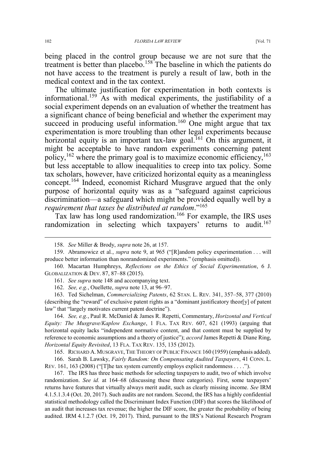being placed in the control group because we are not sure that the treatment is better than placebo.<sup>158</sup> The baseline in which the patients do not have access to the treatment is purely a result of law, both in the medical context and in the tax context.

The ultimate justification for experimentation in both contexts is informational.159 As with medical experiments, the justifiability of a social experiment depends on an evaluation of whether the treatment has a significant chance of being beneficial and whether the experiment may succeed in producing useful information.<sup>160</sup> One might argue that tax experimentation is more troubling than other legal experiments because horizontal equity is an important tax-law goal.<sup>161</sup> On this argument, it might be acceptable to have random experiments concerning patent policy,  $162$  where the primary goal is to maximize economic efficiency,  $163$ but less acceptable to allow inequalities to creep into tax policy. Some tax scholars, however, have criticized horizontal equity as a meaningless concept.<sup>164</sup> Indeed, economist Richard Musgrave argued that the only purpose of horizontal equity was as a "safeguard against capricious discrimination—a safeguard which might be provided equally well by a *requirement that taxes be distributed at random*."<sup>165</sup>

Tax law has long used randomization.166 For example, the IRS uses randomization in selecting which taxpayers' returns to audit.<sup>167</sup>

164. *See, e.g.*, Paul R. McDaniel & James R. Repetti, Commentary, *Horizontal and Vertical Equity: The Musgrave/Kaplow Exchange*, 1 FLA. TAX REV. 607, 621 (1993) (arguing that horizontal equity lacks "independent normative content, and that content must be supplied by reference to economic assumptions and a theory of justice"); *accord* James Repetti & Diane Ring, *Horizontal Equity Revisited*, 13 FLA. TAX REV. 135, 135 (2012).

165. RICHARD A. MUSGRAVE, THE THEORY OF PUBLIC FINANCE 160 (1959) (emphasis added).

166. Sarah B. Lawsky, *Fairly Random: On Compensating Audited Taxpayers*, 41 CONN. L. REV. 161, 163 (2008) ("[T]he tax system currently employs explicit randomness . . . .").

167. The IRS has three basic methods for selecting taxpayers to audit, two of which involve randomization. *See id.* at 164–68 (discussing these three categories). First, some taxpayers' returns have features that virtually always merit audit, such as clearly missing income. *See* IRM 4.1.5.1.3.4 (Oct. 20, 2017). Such audits are not random. Second, the IRS has a highly confidential statistical methodology called the Discriminant Index Function (DIF) that scores the likelihood of an audit that increases tax revenue; the higher the DIF score, the greater the probability of being audited. IRM 4.1.2.7 (Oct. 19, 2017). Third, pursuant to the IRS's National Research Program

 <sup>158.</sup> *See* Miller & Brody, *supra* note 26, at 157.

<sup>159.</sup> Abramowicz et al*.*, *supra* note 9, at 965 ("[R]andom policy experimentation . . . will produce better information than nonrandomized experiments." (emphasis omitted)).

<sup>160.</sup> Macartan Humphreys, *Reflections on the Ethics of Social Experimentation*, 6 J. GLOBALIZATION & DEV. 87, 87–88 (2015).

<sup>161.</sup> *See supra* note 148 and accompanying text.

<sup>162.</sup> *See, e.g.*, Ouellette, *supra* note 13, at 96–97.

<sup>163.</sup> Ted Sichelman, *Commercializing Patents*, 62 STAN. L. REV. 341, 357–58, 377 (2010) (describing the "reward" of exclusive patent rights as a "dominant justificatory theor[y] of patent law" that "largely motivates current patent doctrine").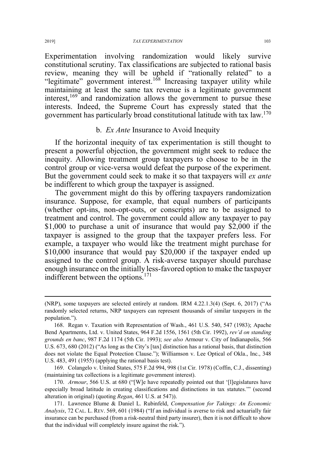Experimentation involving randomization would likely survive constitutional scrutiny. Tax classifications are subjected to rational basis review, meaning they will be upheld if "rationally related" to a "legitimate" government interest.<sup>168</sup> Increasing taxpayer utility while maintaining at least the same tax revenue is a legitimate government interest, $169$  and randomization allows the government to pursue these interests. Indeed, the Supreme Court has expressly stated that the government has particularly broad constitutional latitude with tax law.<sup>170</sup>

# b. *Ex Ante* Insurance to Avoid Inequity

If the horizontal inequity of tax experimentation is still thought to present a powerful objection, the government might seek to reduce the inequity. Allowing treatment group taxpayers to choose to be in the control group or vice-versa would defeat the purpose of the experiment. But the government could seek to make it so that taxpayers will *ex ante* be indifferent to which group the taxpayer is assigned.

The government might do this by offering taxpayers randomization insurance. Suppose, for example, that equal numbers of participants (whether opt-ins, non-opt-outs, or conscripts) are to be assigned to treatment and control. The government could allow any taxpayer to pay \$1,000 to purchase a unit of insurance that would pay \$2,000 if the taxpayer is assigned to the group that the taxpayer prefers less. For example, a taxpayer who would like the treatment might purchase for \$10,000 insurance that would pay \$20,000 if the taxpayer ended up assigned to the control group. A risk-averse taxpayer should purchase enough insurance on the initially less-favored option to make the taxpayer indifferent between the options.<sup>171</sup>

169. Colangelo v. United States, 575 F.2d 994, 998 (1st Cir. 1978) (Coffin, C.J., dissenting) (maintaining tax collections is a legitimate government interest).

170. *Armour*, 566 U.S. at 680 ("[W]e have repeatedly pointed out that '[l]egislatures have especially broad latitude in creating classifications and distinctions in tax statutes.'" (second alteration in original) (quoting *Regan*, 461 U.S. at 547)).

 $\overline{a}$ 

<sup>(</sup>NRP), some taxpayers are selected entirely at random. IRM 4.22.1.3(4) (Sept. 6, 2017) ("As randomly selected returns, NRP taxpayers can represent thousands of similar taxpayers in the population.").

<sup>168.</sup> Regan v. Taxation with Representation of Wash., 461 U.S. 540, 547 (1983); Apache Bend Apartments, Ltd. v. United States, 964 F.2d 1556, 1561 (5th Cir. 1992), *rev'd on standing grounds en banc*, 987 F.2d 1174 (5th Cir. 1993); *see also* Armour v. City of Indianapolis, 566 U.S. 673, 680 (2012) ("As long as the City's [tax] distinction has a rational basis, that distinction does not violate the Equal Protection Clause."); Williamson v. Lee Optical of Okla., Inc., 348 U.S. 483, 491 (1955) (applying the rational basis test).

<sup>171.</sup> Lawrence Blume & Daniel L. Rubinfeld, *Compensation for Takings: An Economic Analysis*, 72 CAL. L. REV. 569, 601 (1984) ("If an individual is averse to risk and actuarially fair insurance can be purchased (from a risk-neutral third party insurer), then it is not difficult to show that the individual will completely insure against the risk.").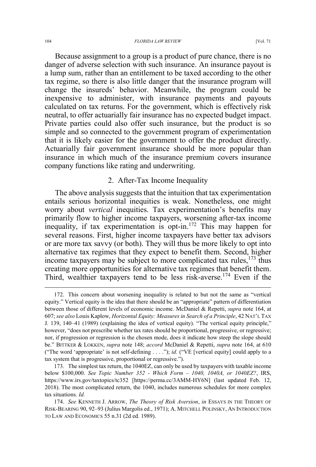Because assignment to a group is a product of pure chance, there is no danger of adverse selection with such insurance. An insurance payout is a lump sum, rather than an entitlement to be taxed according to the other tax regime, so there is also little danger that the insurance program will change the insureds' behavior. Meanwhile, the program could be inexpensive to administer, with insurance payments and payouts calculated on tax returns. For the government, which is effectively risk neutral, to offer actuarially fair insurance has no expected budget impact. Private parties could also offer such insurance, but the product is so simple and so connected to the government program of experimentation that it is likely easier for the government to offer the product directly. Actuarially fair government insurance should be more popular than insurance in which much of the insurance premium covers insurance company functions like rating and underwriting.

# 2. After-Tax Income Inequality

The above analysis suggests that the intuition that tax experimentation entails serious horizontal inequities is weak. Nonetheless, one might worry about *vertical* inequities. Tax experimentation's benefits may primarily flow to higher income taxpayers, worsening after-tax income inequality, if tax experimentation is opt-in.172 This may happen for several reasons. First, higher income taxpayers have better tax advisors or are more tax savvy (or both). They will thus be more likely to opt into alternative tax regimes that they expect to benefit them. Second, higher income taxpayers may be subject to more complicated tax rules,  $173$  thus creating more opportunities for alternative tax regimes that benefit them. Third, wealthier taxpayers tend to be less risk-averse.<sup>174</sup> Even if the

 <sup>172.</sup> This concern about worsening inequality is related to but not the same as "vertical equity." Vertical equity is the idea that there should be an "appropriate" pattern of differentiation between those of different levels of economic income. McDaniel & Repetti, *supra* note 164, at 607; *see also* Louis Kaplow, *Horizontal Equity: Measures in Search of a Principle*, 42 NAT'L TAX J. 139, 140–41 (1989) (explaining the idea of vertical equity). "The vertical equity principle," however, "does not prescribe whether tax rates should be proportional, progressive, or regressive; nor, if progression or regression is the chosen mode, does it indicate how steep the slope should be." BITTKER & LOKKEN, *supra* note 148; *accord* McDaniel & Repetti, *supra* note 164, at 610 ("The word 'appropriate' is not self-defining . . . ."); *id.* ("VE [vertical equity] could apply to a tax system that is progressive, proportional or regressive.").

<sup>173.</sup> The simplest tax return, the 1040EZ, can only be used by taxpayers with taxable income below \$100,000. *See Topic Number 352 - Which Form – 1040, 1040A, or 1040EZ?*, IRS, https://www.irs.gov/taxtopics/tc352 [https://perma.cc/3AMM-HY6N] (last updated Feb. 12, 2018). The most complicated return, the 1040, includes numerous schedules for more complex tax situations. *Id.*

<sup>174.</sup> *See* KENNETH J. ARROW, *The Theory of Risk Aversion*, *in* ESSAYS IN THE THEORY OF RISK-BEARING 90, 92–93 (Julius Margolis ed., 1971); A. MITCHELL POLINSKY, AN INTRODUCTION TO LAW AND ECONOMICS 55 n.31 (2d ed. 1989).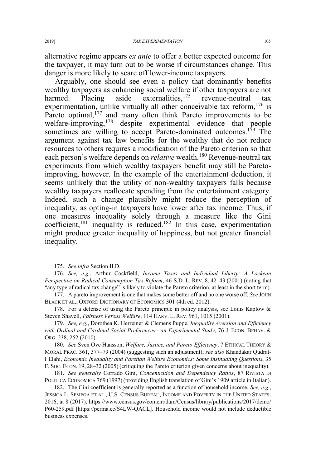alternative regime appears *ex ante* to offer a better expected outcome for the taxpayer, it may turn out to be worse if circumstances change. This danger is more likely to scare off lower-income taxpayers.

Arguably, one should see even a policy that dominantly benefits wealthy taxpayers as enhancing social welfare if other taxpayers are not harmed. Placing aside externalities,<sup>175</sup> revenue-neutral tax experimentation, unlike virtually all other conceivable tax reform,  $176$  is Pareto optimal,<sup>177</sup> and many often think Pareto improvements to be welfare-improving,<sup>178</sup> despite experimental evidence that people sometimes are willing to accept Pareto-dominated outcomes.<sup>179</sup> The argument against tax law benefits for the wealthy that do not reduce resources to others requires a modification of the Pareto criterion so that each person's welfare depends on *relative* wealth.<sup>180</sup> Revenue-neutral tax experiments from which wealthy taxpayers benefit may still be Paretoimproving, however. In the example of the entertainment deduction, it seems unlikely that the utility of non-wealthy taxpayers falls because wealthy taxpayers reallocate spending from the entertainment category. Indeed, such a change plausibly might reduce the perception of inequality, as opting-in taxpayers have lower after tax income. Thus, if one measures inequality solely through a measure like the Gini coefficient, $181$  inequality is reduced.<sup>182</sup> In this case, experimentation might produce greater inequality of happiness, but not greater financial inequality.

 <sup>175.</sup> *See infra* Section II.D.

<sup>176.</sup> *See, e.g.*, Arthur Cockfield, *Income Taxes and Individual Liberty: A Lockean Perspective on Radical Consumption Tax Reform*, 46 S.D. L. REV. 8, 42–43 (2001) (noting that "any type of radical tax change" is likely to violate the Pareto criterion, at least in the short term).

<sup>177.</sup> A pareto improvement is one that makes some better off and no one worse off. *See* JOHN BLACK ET AL., OXFORD DICTIONARY OF ECONOMICS 301 (4th ed. 2012).

<sup>178.</sup> For a defense of using the Pareto principle in policy analysis, see Louis Kaplow & Steven Shavell, *Fairness Versus Welfare*, 114 HARV. L. REV. 961, 1015 (2001).

<sup>179.</sup> *See, e.g.*, Dorothea K. Herreiner & Clemens Puppe, *Inequality Aversion and Efficiency with Ordinal and Cardinal Social Preferences—an Experimental Study*, 76 J. ECON. BEHAV. & ORG. 238, 252 (2010).

<sup>180.</sup> *See* Sven Ove Hansson, *Welfare, Justice, and Pareto Efficiency*, 7 ETHICAL THEORY & MORAL PRAC. 361, 377–79 (2004) (suggesting such an adjustment); *see also* Khandakar Qudrat-I Elahi, *Economic Inequality and Paretian Welfare Economics: Some Insinuating Questions*, 35 F. SOC. ECON. 19, 28–32 (2005) (critiquing the Pareto criterion given concerns about inequality).

<sup>181.</sup> *See generally* Corrado Gini, *Concentration and Dependency Ratios*, 87 RIVISTA DI POLITICA ECONOMICA 769 (1997) (providing English translation of Gini's 1909 article in Italian).

<sup>182.</sup> The Gini coefficient is generally reported as a function of household income. *See, e.g.*, JESSICA L. SEMEGA ET AL., U.S. CENSUS BUREAU, INCOME AND POVERTY IN THE UNITED STATES: 2016, at 8 (2017), https://www.census.gov/content/dam/Census/library/publications/2017/demo/ P60-259.pdf [https://perma.cc/S4LW-QACL]. Household income would not include deductible business expenses.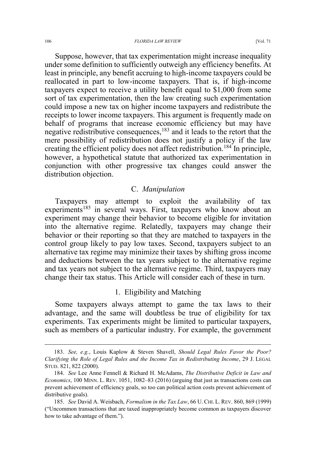Suppose, however, that tax experimentation might increase inequality under some definition to sufficiently outweigh any efficiency benefits. At least in principle, any benefit accruing to high-income taxpayers could be reallocated in part to low-income taxpayers. That is, if high-income taxpayers expect to receive a utility benefit equal to \$1,000 from some sort of tax experimentation, then the law creating such experimentation could impose a new tax on higher income taxpayers and redistribute the receipts to lower income taxpayers. This argument is frequently made on behalf of programs that increase economic efficiency but may have negative redistributive consequences,<sup>183</sup> and it leads to the retort that the mere possibility of redistribution does not justify a policy if the law creating the efficient policy does not affect redistribution.<sup>184</sup> In principle, however, a hypothetical statute that authorized tax experimentation in conjunction with other progressive tax changes could answer the distribution objection.

# C. *Manipulation*

Taxpayers may attempt to exploit the availability of tax experiments<sup>185</sup> in several ways. First, taxpayers who know about an experiment may change their behavior to become eligible for invitation into the alternative regime. Relatedly, taxpayers may change their behavior or their reporting so that they are matched to taxpayers in the control group likely to pay low taxes. Second, taxpayers subject to an alternative tax regime may minimize their taxes by shifting gross income and deductions between the tax years subject to the alternative regime and tax years not subject to the alternative regime. Third, taxpayers may change their tax status. This Article will consider each of these in turn.

### 1. Eligibility and Matching

Some taxpayers always attempt to game the tax laws to their advantage, and the same will doubtless be true of eligibility for tax experiments. Tax experiments might be limited to particular taxpayers, such as members of a particular industry. For example, the government

 <sup>183.</sup> *See, e.g.*, Louis Kaplow & Steven Shavell, *Should Legal Rules Favor the Poor? Clarifying the Role of Legal Rules and the Income Tax in Redistributing Income*, 29 J. LEGAL STUD. 821, 822 (2000).

<sup>184.</sup> *See* Lee Anne Fennell & Richard H. McAdams, *The Distributive Deficit in Law and Economics*, 100 MINN. L. REV. 1051, 1082–83 (2016) (arguing that just as transactions costs can prevent achievement of efficiency goals, so too can political action costs prevent achievement of distributive goals).

<sup>185.</sup> *See* David A. Weisbach, *Formalism in the Tax Law*, 66 U. CHI. L. REV. 860, 869 (1999) ("Uncommon transactions that are taxed inappropriately become common as taxpayers discover how to take advantage of them.").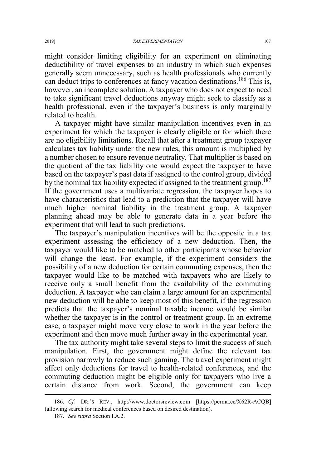might consider limiting eligibility for an experiment on eliminating deductibility of travel expenses to an industry in which such expenses generally seem unnecessary, such as health professionals who currently can deduct trips to conferences at fancy vacation destinations.<sup>186</sup> This is, however, an incomplete solution. A taxpayer who does not expect to need to take significant travel deductions anyway might seek to classify as a health professional, even if the taxpayer's business is only marginally related to health.

A taxpayer might have similar manipulation incentives even in an experiment for which the taxpayer is clearly eligible or for which there are no eligibility limitations. Recall that after a treatment group taxpayer calculates tax liability under the new rules, this amount is multiplied by a number chosen to ensure revenue neutrality. That multiplier is based on the quotient of the tax liability one would expect the taxpayer to have based on the taxpayer's past data if assigned to the control group, divided by the nominal tax liability expected if assigned to the treatment group.<sup>187</sup> If the government uses a multivariate regression, the taxpayer hopes to have characteristics that lead to a prediction that the taxpayer will have much higher nominal liability in the treatment group. A taxpayer planning ahead may be able to generate data in a year before the experiment that will lead to such predictions.

The taxpayer's manipulation incentives will be the opposite in a tax experiment assessing the efficiency of a new deduction. Then, the taxpayer would like to be matched to other participants whose behavior will change the least. For example, if the experiment considers the possibility of a new deduction for certain commuting expenses, then the taxpayer would like to be matched with taxpayers who are likely to receive only a small benefit from the availability of the commuting deduction. A taxpayer who can claim a large amount for an experimental new deduction will be able to keep most of this benefit, if the regression predicts that the taxpayer's nominal taxable income would be similar whether the taxpayer is in the control or treatment group. In an extreme case, a taxpayer might move very close to work in the year before the experiment and then move much further away in the experimental year.

The tax authority might take several steps to limit the success of such manipulation. First, the government might define the relevant tax provision narrowly to reduce such gaming. The travel experiment might affect only deductions for travel to health-related conferences, and the commuting deduction might be eligible only for taxpayers who live a certain distance from work. Second, the government can keep

 <sup>186.</sup> *Cf.* DR.'<sup>S</sup> REV., http://www.doctorsreview.com [https://perma.cc/X62R-ACQB] (allowing search for medical conferences based on desired destination).

<sup>187.</sup> *See supra* Section I.A.2.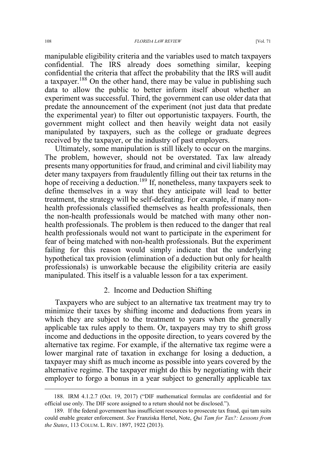manipulable eligibility criteria and the variables used to match taxpayers confidential. The IRS already does something similar, keeping confidential the criteria that affect the probability that the IRS will audit a taxpayer.<sup>188</sup> On the other hand, there may be value in publishing such data to allow the public to better inform itself about whether an experiment was successful. Third, the government can use older data that predate the announcement of the experiment (not just data that predate the experimental year) to filter out opportunistic taxpayers. Fourth, the government might collect and then heavily weight data not easily manipulated by taxpayers, such as the college or graduate degrees received by the taxpayer, or the industry of past employers.

Ultimately, some manipulation is still likely to occur on the margins. The problem, however, should not be overstated. Tax law already presents many opportunities for fraud, and criminal and civil liability may deter many taxpayers from fraudulently filling out their tax returns in the hope of receiving a deduction.<sup>189</sup> If, nonetheless, many taxpayers seek to define themselves in a way that they anticipate will lead to better treatment, the strategy will be self-defeating. For example, if many nonhealth professionals classified themselves as health professionals, then the non-health professionals would be matched with many other nonhealth professionals. The problem is then reduced to the danger that real health professionals would not want to participate in the experiment for fear of being matched with non-health professionals. But the experiment failing for this reason would simply indicate that the underlying hypothetical tax provision (elimination of a deduction but only for health professionals) is unworkable because the eligibility criteria are easily manipulated. This itself is a valuable lesson for a tax experiment.

# 2. Income and Deduction Shifting

Taxpayers who are subject to an alternative tax treatment may try to minimize their taxes by shifting income and deductions from years in which they are subject to the treatment to years when the generally applicable tax rules apply to them. Or, taxpayers may try to shift gross income and deductions in the opposite direction, to years covered by the alternative tax regime. For example, if the alternative tax regime were a lower marginal rate of taxation in exchange for losing a deduction, a taxpayer may shift as much income as possible into years covered by the alternative regime. The taxpayer might do this by negotiating with their employer to forgo a bonus in a year subject to generally applicable tax

 <sup>188.</sup> IRM 4.1.2.7 (Oct. 19, 2017) ("DIF mathematical formulas are confidential and for official use only. The DIF score assigned to a return should not be disclosed.").

<sup>189.</sup> If the federal government has insufficient resources to prosecute tax fraud, qui tam suits could enable greater enforcement. *See* Franziska Hertel, Note, *Qui Tam for Tax?: Lessons from the States*, 113 COLUM. L. REV. 1897, 1922 (2013).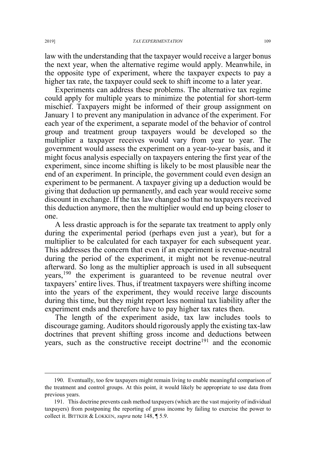law with the understanding that the taxpayer would receive a larger bonus the next year, when the alternative regime would apply. Meanwhile, in the opposite type of experiment, where the taxpayer expects to pay a higher tax rate, the taxpayer could seek to shift income to a later year.

Experiments can address these problems. The alternative tax regime could apply for multiple years to minimize the potential for short-term mischief. Taxpayers might be informed of their group assignment on January 1 to prevent any manipulation in advance of the experiment. For each year of the experiment, a separate model of the behavior of control group and treatment group taxpayers would be developed so the multiplier a taxpayer receives would vary from year to year. The government would assess the experiment on a year-to-year basis, and it might focus analysis especially on taxpayers entering the first year of the experiment, since income shifting is likely to be most plausible near the end of an experiment. In principle, the government could even design an experiment to be permanent. A taxpayer giving up a deduction would be giving that deduction up permanently, and each year would receive some discount in exchange. If the tax law changed so that no taxpayers received this deduction anymore, then the multiplier would end up being closer to one.

A less drastic approach is for the separate tax treatment to apply only during the experimental period (perhaps even just a year), but for a multiplier to be calculated for each taxpayer for each subsequent year. This addresses the concern that even if an experiment is revenue-neutral during the period of the experiment, it might not be revenue-neutral afterward. So long as the multiplier approach is used in all subsequent years,<sup>190</sup> the experiment is guaranteed to be revenue neutral over taxpayers' entire lives. Thus, if treatment taxpayers were shifting income into the years of the experiment, they would receive large discounts during this time, but they might report less nominal tax liability after the experiment ends and therefore have to pay higher tax rates then.

The length of the experiment aside, tax law includes tools to discourage gaming. Auditors should rigorously apply the existing tax-law doctrines that prevent shifting gross income and deductions between years, such as the constructive receipt doctrine<sup>191</sup> and the economic

 <sup>190.</sup> Eventually, too few taxpayers might remain living to enable meaningful comparison of the treatment and control groups. At this point, it would likely be appropriate to use data from previous years.

<sup>191.</sup> This doctrine prevents cash method taxpayers (which are the vast majority of individual taxpayers) from postponing the reporting of gross income by failing to exercise the power to collect it. BITTKER & LOKKEN, *supra* note 148, ¶ 5.9.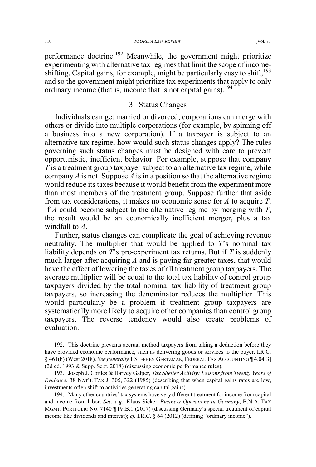#### 110 *FLORIDA LAW REVIEW* [Vol. 71

performance doctrine.<sup>192</sup> Meanwhile, the government might prioritize experimenting with alternative tax regimes that limit the scope of incomeshifting. Capital gains, for example, might be particularly easy to shift, $193$ and so the government might prioritize tax experiments that apply to only ordinary income (that is, income that is not capital gains).<sup>194</sup>

# 3. Status Changes

Individuals can get married or divorced; corporations can merge with others or divide into multiple corporations (for example, by spinning off a business into a new corporation). If a taxpayer is subject to an alternative tax regime, how would such status changes apply? The rules governing such status changes must be designed with care to prevent opportunistic, inefficient behavior. For example, suppose that company *T* is a treatment group taxpayer subject to an alternative tax regime, while company  $\vec{A}$  is not. Suppose  $\vec{A}$  is in a position so that the alternative regime would reduce its taxes because it would benefit from the experiment more than most members of the treatment group. Suppose further that aside from tax considerations, it makes no economic sense for *A* to acquire *T*. If *A* could become subject to the alternative regime by merging with *T*, the result would be an economically inefficient merger, plus a tax windfall to *A*.

Further, status changes can complicate the goal of achieving revenue neutrality. The multiplier that would be applied to *T*'s nominal tax liability depends on *T*'s pre-experiment tax returns. But if *T* is suddenly much larger after acquiring *A* and is paying far greater taxes, that would have the effect of lowering the taxes of all treatment group taxpayers. The average multiplier will be equal to the total tax liability of control group taxpayers divided by the total nominal tax liability of treatment group taxpayers, so increasing the denominator reduces the multiplier. This would particularly be a problem if treatment group taxpayers are systematically more likely to acquire other companies than control group taxpayers. The reverse tendency would also create problems of evaluation.

 <sup>192.</sup> This doctrine prevents accrual method taxpayers from taking a deduction before they have provided economic performance, such as delivering goods or services to the buyer. I.R.C. § 461(h) (West 2018). *See generally* 1 STEPHEN GERTZMAN, FEDERAL TAX ACCOUNTING ¶ 4.04[3] (2d ed. 1993 & Supp. Sept. 2018) (discussing economic performance rules).

<sup>193.</sup> Joseph J. Cordes & Harvey Galper, *Tax Shelter Activity: Lessons from Twenty Years of Evidence*, 38 NAT'L TAX J. 305, 322 (1985) (describing that when capital gains rates are low, investments often shift to activities generating capital gains).

<sup>194.</sup> Many other countries' tax systems have very different treatment for income from capital and income from labor. *See, e.g.*, Klaus Sieker, *Business Operations in Germany*, B.N.A. TAX MGMT. PORTFOLIO NO. 7140 ¶ IV.B.1 (2017) (discussing Germany's special treatment of capital income like dividends and interest); *cf.* I.R.C. § 64 (2012) (defining "ordinary income").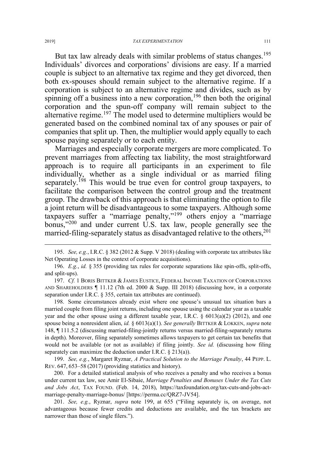But tax law already deals with similar problems of status changes.<sup>195</sup> Individuals' divorces and corporations' divisions are easy. If a married couple is subject to an alternative tax regime and they get divorced, then both ex-spouses should remain subject to the alternative regime. If a corporation is subject to an alternative regime and divides, such as by spinning off a business into a new corporation,<sup>196</sup> then both the original corporation and the spun-off company will remain subject to the alternative regime.<sup>197</sup> The model used to determine multipliers would be generated based on the combined nominal tax of any spouses or pair of companies that split up. Then, the multiplier would apply equally to each spouse paying separately or to each entity.

Marriages and especially corporate mergers are more complicated. To prevent marriages from affecting tax liability, the most straightforward approach is to require all participants in an experiment to file individually, whether as a single individual or as married filing separately.<sup>198</sup> This would be true even for control group taxpayers, to facilitate the comparison between the control group and the treatment group. The drawback of this approach is that eliminating the option to file a joint return will be disadvantageous to some taxpayers. Although some taxpayers suffer a "marriage penalty,"<sup>199</sup> others enjoy a "marriage bonus,"<sup>200</sup> and under current U.S. tax law, people generally see the married-filing-separately status as disadvantaged relative to the others,  $201$ 

198. Some circumstances already exist where one spouse's unusual tax situation bars a married couple from filing joint returns, including one spouse using the calendar year as a taxable year and the other spouse using a different taxable year, I.R.C.  $\S$  6013(a)(2) (2012), and one spouse being a nonresident alien, *id.* § 6013(a)(1). *See generally* BITTKER & LOKKEN, *supra* note 148, ¶ 111.5.2 (discussing married-filing-jointly returns versus married-filing-separately returns in depth). Moreover, filing separately sometimes allows taxpayers to get certain tax benefits that would not be available (or not as available) if filing jointly. *See id.* (discussing how filing separately can maximize the deduction under I.R.C. § 213(a)).

199. *See, e.g.*, Margaret Ryznar, *A Practical Solution to the Marriage Penalty*, 44 PEPP. L. REV. 647, 653–58 (2017) (providing statistics and history).

200. For a detailed statistical analysis of who receives a penalty and who receives a bonus under current tax law, see Amir El-Sibaie, *Marriage Penalties and Bonuses Under the Tax Cuts and Jobs Act*, TAX FOUND. (Feb. 14, 2018), https://taxfoundation.org/tax-cuts-and-jobs-actmarriage-penalty-marriage-bonus/ [https://perma.cc/QRZ7-JV54].

201. *See, e.g.*, Ryznar, *supra* note 199, at 655 ("Filing separately is, on average, not advantageous because fewer credits and deductions are available, and the tax brackets are narrower than those of single filers.").

 <sup>195.</sup> *See, e.g.*, I.R.C. § 382 (2012 & Supp. V 2018) (dealing with corporate tax attributes like Net Operating Losses in the context of corporate acquisitions).

<sup>196.</sup> *E.g.*, *id.* § 355 (providing tax rules for corporate separations like spin-offs, split-offs, and split-ups).

<sup>197.</sup> *Cf.* 1 BORIS BITTKER & JAMES EUSTICE, FEDERAL INCOME TAXATION OF CORPORATIONS AND SHAREHOLDERS ¶ 11.12 (7th ed. 2000 & Supp. III 2018) (discussing how, in a corporate separation under I.R.C. § 355, certain tax attributes are continued).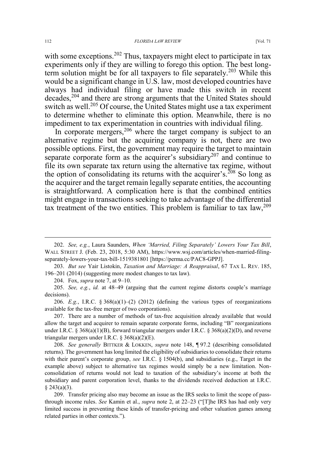#### 112 *FLORIDA LAW REVIEW* [Vol. 71

with some exceptions.<sup>202</sup> Thus, taxpayers might elect to participate in tax experiments only if they are willing to forego this option. The best longterm solution might be for all taxpayers to file separately.<sup>203</sup> While this would be a significant change in U.S. law, most developed countries have always had individual filing or have made this switch in recent decades,<sup>204</sup> and there are strong arguments that the United States should switch as well.<sup>205</sup> Of course, the United States might use a tax experiment to determine whether to eliminate this option. Meanwhile, there is no impediment to tax experimentation in countries with individual filing.

In corporate mergers,  $206$  where the target company is subject to an alternative regime but the acquiring company is not, there are two possible options. First, the government may require the target to maintain separate corporate form as the acquirer's subsidiary<sup>207</sup> and continue to file its own separate tax return using the alternative tax regime, without the option of consolidating its returns with the acquirer's.<sup>208</sup> So long as the acquirer and the target remain legally separate entities, the accounting is straightforward. A complication here is that the combined entities might engage in transactions seeking to take advantage of the differential tax treatment of the two entities. This problem is familiar to tax  $\text{law}$ ,  $^{209}$ 

203. *But see* Yair Listokin, *Taxation and Marriage: A Reappraisal*, 67 TAX L. REV. 185, 196–201 (2014) (suggesting more modest changes to tax law).

204. Fox, *supra* note 7, at 9–10.

205. *See, e.g.*, *id.* at 48–49 (arguing that the current regime distorts couple's marriage decisions).

206. *E.g.*, I.R.C. § 368(a)(1)–(2) (2012) (defining the various types of reorganizations available for the tax-free merger of two corporations).

207. There are a number of methods of tax-free acquisition already available that would allow the target and acquirer to remain separate corporate forms, including "B" reorganizations under I.R.C. § 368(a)(1)(B), forward triangular mergers under I.R.C. § 368(a)(2)(D), and reverse triangular mergers under I.R.C. § 368(a)(2)(E).

208. *See generally* BITTKER & LOKKEN, *supra* note 148, ¶ 97.2 (describing consolidated returns). The government has long limited the eligibility of subsidiaries to consolidate their returns with their parent's corporate group, *see* I.R.C. § 1504(b), and subsidiaries (e.g., Target in the example above) subject to alternative tax regimes would simply be a new limitation. Nonconsolidation of returns would not lead to taxation of the subsidiary's income at both the subsidiary and parent corporation level, thanks to the dividends received deduction at I.R.C.  $§$  243(a)(3).

209. Transfer pricing also may become an issue as the IRS seeks to limit the scope of passthrough income rules. *See* Kamin et al., *supra* note 2, at 22–23 ("[T]he IRS has had only very limited success in preventing these kinds of transfer-pricing and other valuation games among related parties in other contexts.").

 <sup>202.</sup> *See, e.g.*, Laura Saunders, *When 'Married, Filing Separately' Lowers Your Tax Bill*, WALL STREET J. (Feb. 23, 2018, 5:30 AM), https://www.wsj.com/articles/when-married-filingseparately-lowers-your-tax-bill-1519381801 [https://perma.cc/PAC8-GPPJ].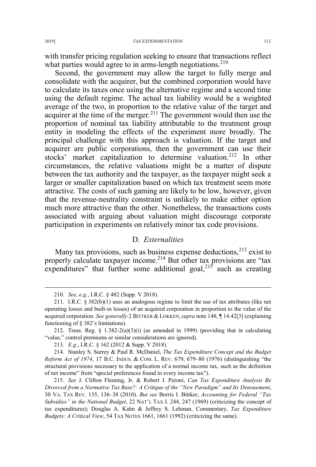with transfer pricing regulation seeking to ensure that transactions reflect what parties would agree to in arms-length negotiations.<sup>210</sup>

Second, the government may allow the target to fully merge and consolidate with the acquirer, but the combined corporation would have to calculate its taxes once using the alternative regime and a second time using the default regime. The actual tax liability would be a weighted average of the two, in proportion to the relative value of the target and acquirer at the time of the merger.<sup>211</sup> The government would then use the proportion of nominal tax liability attributable to the treatment group entity in modeling the effects of the experiment more broadly. The principal challenge with this approach is valuation. If the target and acquirer are public corporations, then the government can use their stocks' market capitalization to determine valuation.<sup>212</sup> In other circumstances, the relative valuations might be a matter of dispute between the tax authority and the taxpayer, as the taxpayer might seek a larger or smaller capitalization based on which tax treatment seem more attractive. The costs of such gaming are likely to be low, however, given that the revenue-neutrality constraint is unlikely to make either option much more attractive than the other. Nonetheless, the transactions costs associated with arguing about valuation might discourage corporate participation in experiments on relatively minor tax code provisions.

# D. *Externalities*

Many tax provisions, such as business expense deductions,  $2^{13}$  exist to properly calculate taxpayer income.<sup>214</sup> But other tax provisions are "tax expenditures" that further some additional goal,<sup>215</sup> such as creating

 <sup>210.</sup> *See, e.g.*, I.R.C. § 482 (Supp. V 2018).

<sup>211.</sup> I.R.C.  $\S 382(b)(1)$  uses an analogous regime to limit the use of tax attributes (like net operating losses and built-in losses) of an acquired corporation in proportion to the value of the acquired corporation. *See generally* 2 BITTKER & LOKKEN,*supra* note 148, ¶ 14.42[3] (explaining functioning of § 382's limitations).

<sup>212.</sup> Treas. Reg. § 1.382-2(a)(3)(i) (as amended in 1999) (providing that in calculating "value," control premiums or similar considerations are ignored).

<sup>213.</sup> *E.g.*, I.R.C. § 162 (2012 & Supp. V 2018).

<sup>214.</sup> Stanley S. Surrey & Paul R. McDaniel, *The Tax Expenditure Concept and the Budget Reform Act of 1974*, 17 B.C. INDUS.&COM. L. REV. 679, 679–80 (1976) (distinguishing "the structural provisions necessary to the application of a normal income tax, such as the definition of net income" from "special preferences found in every income tax").

<sup>215.</sup> *See* J. Clifton Fleming, Jr. & Robert J. Peroni, *Can Tax Expenditure Analysis Be Divorced from a Normative Tax Base?: A Critique of the "New Paradigm" and Its Denouement*, 30 VA. TAX REV. 135, 136–38 (2010). *But see* Borris I. Bittker, *Accounting for Federal "Tax Subsidies" in the National Budget*, 22 NAT'L TAX J. 244, 247 (1969) (criticizing the concept of tax expenditures); Douglas A. Kahn & Jeffrey S. Lehman, Commentary, *Tax Expenditure Budgets: A Critical View*, 54 TAX NOTES 1661, 1661 (1992) (criticizing the same).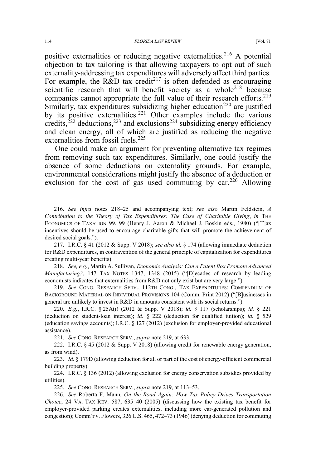positive externalities or reducing negative externalities.<sup>216</sup> A potential objection to tax tailoring is that allowing taxpayers to opt out of such externality-addressing tax expenditures will adversely affect third parties. For example, the R&D tax credit<sup>217</sup> is often defended as encouraging scientific research that will benefit society as a whole<sup>218</sup> because companies cannot appropriate the full value of their research efforts.<sup>219</sup> Similarly, tax expenditures subsidizing higher education<sup>220</sup> are justified by its positive externalities.<sup>221</sup> Other examples include the various credits,<sup>222</sup> deductions,<sup>223</sup> and exclusions<sup>224</sup> subsidizing energy efficiency and clean energy, all of which are justified as reducing the negative externalities from fossil fuels.<sup>225</sup>

One could make an argument for preventing alternative tax regimes from removing such tax expenditures. Similarly, one could justify the absence of some deductions on externality grounds. For example, environmental considerations might justify the absence of a deduction or exclusion for the cost of gas used commuting by  $car^{226}$  Allowing

218. *See, e.g.*, Martin A. Sullivan, *Economic Analysis: Can a Patent Box Promote Advanced Manufacturing?*, 147 TAX NOTES 1347, 1348 (2015) ("[D]ecades of research by leading economists indicates that externalities from R&D not only exist but are very large.").

219. *See* CONG. RESEARCH SERV., 112TH CONG., TAX EXPENDITURES: COMPENDIUM OF BACKGROUND MATERIAL ON INDIVIDUAL PROVISIONS 104 (Comm. Print 2012) ("[B]usinesses in general are unlikely to invest in R&D in amounts consistent with its social returns.").

220. *E.g.*, I.R.C. § 25A(i) (2012 & Supp. V 2018); *id.* § 117 (scholarships); *id.* § 221 (deduction on student-loan interest); *id.* § 222 (deduction for qualified tuition); *id.* § 529 (education savings accounts); I.R.C. § 127 (2012) (exclusion for employer-provided educational assistance).

221. *See* CONG. RESEARCH SERV., *supra* note 219, at 633.

222. I.R.C. § 45 (2012 & Supp. V 2018) (allowing credit for renewable energy generation, as from wind).

223. *Id.* § 179D (allowing deduction for all or part of the cost of energy-efficient commercial building property).

224. I.R.C. § 136 (2012) (allowing exclusion for energy conservation subsidies provided by utilities).

225. *See* CONG. RESEARCH SERV., *supra* note 219, at 113–53.

226. *See* Roberta F. Mann, *On the Road Again: How Tax Policy Drives Transportation Choice*, 24 VA. TAX REV. 587, 635–40 (2005) (discussing how the existing tax benefit for employer-provided parking creates externalities, including more car-generated pollution and congestion); Comm'r v. Flowers, 326 U.S. 465, 472–73 (1946) (denying deduction for commuting

 <sup>216.</sup> *See infra* notes 218–25 and accompanying text; *see also* Martin Feldstein, *<sup>A</sup> Contribution to the Theory of Tax Expenditures: The Case of Charitable Giving*, *in* THE ECONOMICS OF TAXATION 99, 99 (Henry J. Aaron & Michael J. Boskin eds., 1980) ("[T]ax incentives should be used to encourage charitable gifts that will promote the achievement of desired social goals.").

<sup>217.</sup> I.R.C. § 41 (2012 & Supp. V 2018); *see also id.* § 174 (allowing immediate deduction for R&D expenditures, in contravention of the general principle of capitalization for expenditures creating multi-year benefits).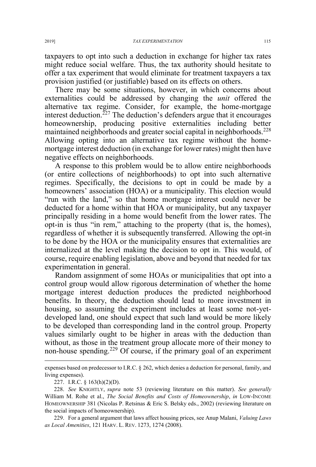taxpayers to opt into such a deduction in exchange for higher tax rates might reduce social welfare. Thus, the tax authority should hesitate to offer a tax experiment that would eliminate for treatment taxpayers a tax provision justified (or justifiable) based on its effects on others.

There may be some situations, however, in which concerns about externalities could be addressed by changing the *unit* offered the alternative tax regime. Consider, for example, the home-mortgage interest deduction.<sup> $227$ </sup> The deduction's defenders argue that it encourages homeownership, producing positive externalities including better maintained neighborhoods and greater social capital in neighborhoods.<sup>228</sup> Allowing opting into an alternative tax regime without the homemortgage interest deduction (in exchange for lower rates) might then have negative effects on neighborhoods.

A response to this problem would be to allow entire neighborhoods (or entire collections of neighborhoods) to opt into such alternative regimes. Specifically, the decisions to opt in could be made by a homeowners' association (HOA) or a municipality. This election would "run with the land," so that home mortgage interest could never be deducted for a home within that HOA or municipality, but any taxpayer principally residing in a home would benefit from the lower rates. The opt-in is thus "in rem," attaching to the property (that is, the homes), regardless of whether it is subsequently transferred. Allowing the opt-in to be done by the HOA or the municipality ensures that externalities are internalized at the level making the decision to opt in. This would, of course, require enabling legislation, above and beyond that needed for tax experimentation in general.

Random assignment of some HOAs or municipalities that opt into a control group would allow rigorous determination of whether the home mortgage interest deduction produces the predicted neighborhood benefits. In theory, the deduction should lead to more investment in housing, so assuming the experiment includes at least some not-yetdeveloped land, one should expect that such land would be more likely to be developed than corresponding land in the control group. Property values similarly ought to be higher in areas with the deduction than without, as those in the treatment group allocate more of their money to non-house spending.<sup>229</sup> Of course, if the primary goal of an experiment  $\overline{a}$ 

expenses based on predecessor to I.R.C. § 262, which denies a deduction for personal, family, and living expenses).

<sup>227.</sup> I.R.C. § 163(h)(2)(D).

<sup>228.</sup> *See* KNIGHTLY, *supra* note 53 (reviewing literature on this matter). *See generally* William M. Rohe et al., *The Social Benefits and Costs of Homeownership*, *in* LOW-INCOME HOMEOWNERSHIP 381 (Nicolas P. Retsinas & Eric S. Belsky eds., 2002) (reviewing literature on the social impacts of homeownership).

<sup>229.</sup> For a general argument that laws affect housing prices, see Anup Malani, *Valuing Laws as Local Amenities*, 121 HARV. L. REV. 1273, 1274 (2008).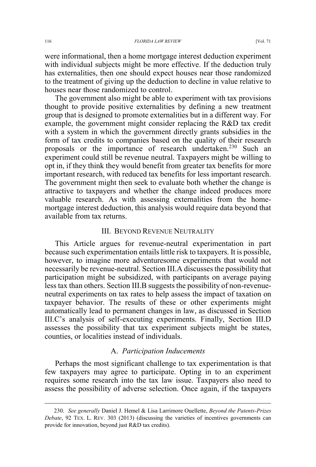were informational, then a home mortgage interest deduction experiment with individual subjects might be more effective. If the deduction truly has externalities, then one should expect houses near those randomized to the treatment of giving up the deduction to decline in value relative to houses near those randomized to control.

The government also might be able to experiment with tax provisions thought to provide positive externalities by defining a new treatment group that is designed to promote externalities but in a different way. For example, the government might consider replacing the R&D tax credit with a system in which the government directly grants subsidies in the form of tax credits to companies based on the quality of their research proposals or the importance of research undertaken.<sup>230</sup> Such an experiment could still be revenue neutral. Taxpayers might be willing to opt in, if they think they would benefit from greater tax benefits for more important research, with reduced tax benefits for less important research. The government might then seek to evaluate both whether the change is attractive to taxpayers and whether the change indeed produces more valuable research. As with assessing externalities from the homemortgage interest deduction, this analysis would require data beyond that available from tax returns.

### III. BEYOND REVENUE NEUTRALITY

This Article argues for revenue-neutral experimentation in part because such experimentation entails little risk to taxpayers. It is possible, however, to imagine more adventuresome experiments that would not necessarily be revenue-neutral. Section III.A discusses the possibility that participation might be subsidized, with participants on average paying less tax than others. Section III.B suggests the possibility of non-revenueneutral experiments on tax rates to help assess the impact of taxation on taxpayer behavior. The results of these or other experiments might automatically lead to permanent changes in law, as discussed in Section III.C's analysis of self-executing experiments. Finally, Section III.D assesses the possibility that tax experiment subjects might be states, counties, or localities instead of individuals.

#### A. *Participation Inducements*

Perhaps the most significant challenge to tax experimentation is that few taxpayers may agree to participate. Opting in to an experiment requires some research into the tax law issue. Taxpayers also need to assess the possibility of adverse selection. Once again, if the taxpayers

 <sup>230.</sup> *See generally* Daniel J. Hemel & Lisa Larrimore Ouellette, *Beyond the Patents-Prizes Debate*, 92 TEX. L. REV. 303 (2013) (discussing the varieties of incentives governments can provide for innovation, beyond just R&D tax credits).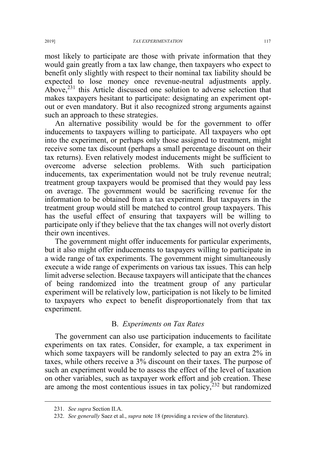most likely to participate are those with private information that they would gain greatly from a tax law change, then taxpayers who expect to benefit only slightly with respect to their nominal tax liability should be expected to lose money once revenue-neutral adjustments apply. Above,<sup>231</sup> this Article discussed one solution to adverse selection that makes taxpayers hesitant to participate: designating an experiment optout or even mandatory. But it also recognized strong arguments against such an approach to these strategies.

An alternative possibility would be for the government to offer inducements to taxpayers willing to participate. All taxpayers who opt into the experiment, or perhaps only those assigned to treatment, might receive some tax discount (perhaps a small percentage discount on their tax returns). Even relatively modest inducements might be sufficient to overcome adverse selection problems. With such participation inducements, tax experimentation would not be truly revenue neutral; treatment group taxpayers would be promised that they would pay less on average. The government would be sacrificing revenue for the information to be obtained from a tax experiment. But taxpayers in the treatment group would still be matched to control group taxpayers. This has the useful effect of ensuring that taxpayers will be willing to participate only if they believe that the tax changes will not overly distort their own incentives.

The government might offer inducements for particular experiments, but it also might offer inducements to taxpayers willing to participate in a wide range of tax experiments. The government might simultaneously execute a wide range of experiments on various tax issues. This can help limit adverse selection. Because taxpayers will anticipate that the chances of being randomized into the treatment group of any particular experiment will be relatively low, participation is not likely to be limited to taxpayers who expect to benefit disproportionately from that tax experiment.

#### B. *Experiments on Tax Rates*

The government can also use participation inducements to facilitate experiments on tax rates. Consider, for example, a tax experiment in which some taxpayers will be randomly selected to pay an extra 2% in taxes, while others receive a 3% discount on their taxes. The purpose of such an experiment would be to assess the effect of the level of taxation on other variables, such as taxpayer work effort and job creation. These are among the most contentious issues in tax policy, $232$  but randomized

 <sup>231.</sup> *See supra* Section II.A.

<sup>232.</sup> *See generally* Saez et al., *supra* note 18 (providing a review of the literature).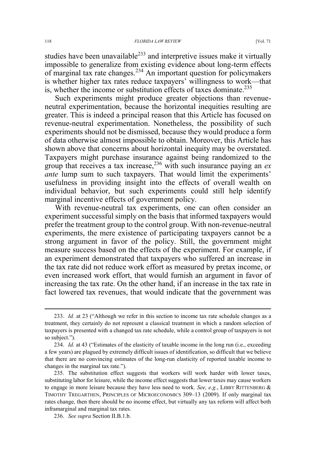studies have been unavailable $^{233}$  and interpretive issues make it virtually impossible to generalize from existing evidence about long-term effects of marginal tax rate changes.<sup>234</sup> An important question for policymakers is whether higher tax rates reduce taxpayers' willingness to work—that is, whether the income or substitution effects of taxes dominate.<sup>235</sup>

Such experiments might produce greater objections than revenueneutral experimentation, because the horizontal inequities resulting are greater. This is indeed a principal reason that this Article has focused on revenue-neutral experimentation. Nonetheless, the possibility of such experiments should not be dismissed, because they would produce a form of data otherwise almost impossible to obtain. Moreover, this Article has shown above that concerns about horizontal inequity may be overstated. Taxpayers might purchase insurance against being randomized to the group that receives a tax increase,<sup>236</sup> with such insurance paying an *ex ante* lump sum to such taxpayers. That would limit the experiments' usefulness in providing insight into the effects of overall wealth on individual behavior, but such experiments could still help identify marginal incentive effects of government policy.

With revenue-neutral tax experiments, one can often consider an experiment successful simply on the basis that informed taxpayers would prefer the treatment group to the control group. With non-revenue-neutral experiments, the mere existence of participating taxpayers cannot be a strong argument in favor of the policy. Still, the government might measure success based on the effects of the experiment. For example, if an experiment demonstrated that taxpayers who suffered an increase in the tax rate did not reduce work effort as measured by pretax income, or even increased work effort, that would furnish an argument in favor of increasing the tax rate. On the other hand, if an increase in the tax rate in fact lowered tax revenues, that would indicate that the government was

 <sup>233.</sup> *Id.* at 23 ("Although we refer in this section to income tax rate schedule changes as a treatment, they certainly do not represent a classical treatment in which a random selection of taxpayers is presented with a changed tax rate schedule, while a control group of taxpayers is not so subject.").

<sup>234.</sup> *Id.* at 43 ("Estimates of the elasticity of taxable income in the long run (i.e., exceeding a few years) are plagued by extremely difficult issues of identification, so difficult that we believe that there are no convincing estimates of the long-run elasticity of reported taxable income to changes in the marginal tax rate.").

<sup>235.</sup> The substitution effect suggests that workers will work harder with lower taxes, substituting labor for leisure, while the income effect suggests that lower taxes may cause workers to engage in more leisure because they have less need to work. *See, e.g.*, LIBBY RITTENBERG & TIMOTHY TREGARTHEN, PRINCIPLES OF MICROECONOMICS 309–13 (2009). If only marginal tax rates change, then there should be no income effect, but virtually any tax reform will affect both inframarginal and marginal tax rates.

<sup>236.</sup> *See supra* Section II.B.1.b.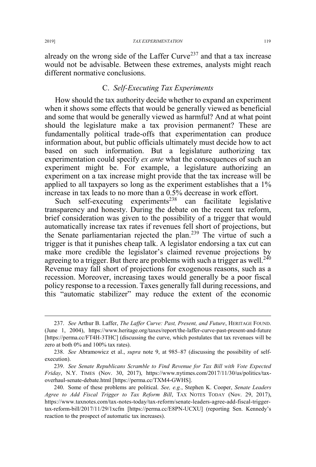already on the wrong side of the Laffer Curve<sup>237</sup> and that a tax increase would not be advisable. Between these extremes, analysts might reach different normative conclusions.

# C. *Self-Executing Tax Experiments*

How should the tax authority decide whether to expand an experiment when it shows some effects that would be generally viewed as beneficial and some that would be generally viewed as harmful? And at what point should the legislature make a tax provision permanent? These are fundamentally political trade-offs that experimentation can produce information about, but public officials ultimately must decide how to act based on such information. But a legislature authorizing tax experimentation could specify *ex ante* what the consequences of such an experiment might be. For example, a legislature authorizing an experiment on a tax increase might provide that the tax increase will be applied to all taxpayers so long as the experiment establishes that a 1% increase in tax leads to no more than a 0.5% decrease in work effort.

Such self-executing experiments<sup>238</sup> can facilitate legislative transparency and honesty. During the debate on the recent tax reform, brief consideration was given to the possibility of a trigger that would automatically increase tax rates if revenues fell short of projections, but the Senate parliamentarian rejected the plan.<sup>239</sup> The virtue of such a trigger is that it punishes cheap talk. A legislator endorsing a tax cut can make more credible the legislator's claimed revenue projections by agreeing to a trigger. But there are problems with such a trigger as well.<sup>240</sup> Revenue may fall short of projections for exogenous reasons, such as a recession. Moreover, increasing taxes would generally be a poor fiscal policy response to a recession. Taxes generally fall during recessions, and this "automatic stabilizer" may reduce the extent of the economic

 <sup>237.</sup> *See* Arthur B. Laffer, *The Laffer Curve: Past, Present, and Future*, HERITAGE FOUND. (June 1, 2004), https://www.heritage.org/taxes/report/the-laffer-curve-past-present-and-future [https://perma.cc/FT4H-3THC] (discussing the curve, which postulates that tax revenues will be zero at both 0% and 100% tax rates).

<sup>238.</sup> *See* Abramowicz et al., *supra* note 9, at 985–87 (discussing the possibility of selfexecution).

<sup>239.</sup> *See Senate Republicans Scramble to Find Revenue for Tax Bill with Vote Expected Friday*, N.Y. TIMES (Nov. 30, 2017), https://www.nytimes.com/2017/11/30/us/politics/taxoverhaul-senate-debate.html [https://perma.cc/TXM4-GWHS].

<sup>240.</sup> Some of these problems are political. *See, e.g.*, Stephen K. Cooper, *Senate Leaders Agree to Add Fiscal Trigger to Tax Reform Bill*, TAX NOTES TODAY (Nov. 29, 2017), https://www.taxnotes.com/tax-notes-today/tax-reform/senate-leaders-agree-add-fiscal-triggertax-reform-bill/2017/11/29/1xcfm [https://perma.cc/E8PN-UCXU] (reporting Sen. Kennedy's reaction to the prospect of automatic tax increases).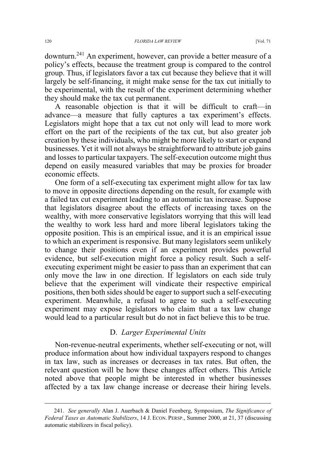downturn.241 An experiment, however, can provide a better measure of a policy's effects, because the treatment group is compared to the control group. Thus, if legislators favor a tax cut because they believe that it will largely be self-financing, it might make sense for the tax cut initially to be experimental, with the result of the experiment determining whether they should make the tax cut permanent.

A reasonable objection is that it will be difficult to craft—in advance—a measure that fully captures a tax experiment's effects. Legislators might hope that a tax cut not only will lead to more work effort on the part of the recipients of the tax cut, but also greater job creation by these individuals, who might be more likely to start or expand businesses. Yet it will not always be straightforward to attribute job gains and losses to particular taxpayers. The self-execution outcome might thus depend on easily measured variables that may be proxies for broader economic effects.

One form of a self-executing tax experiment might allow for tax law to move in opposite directions depending on the result, for example with a failed tax cut experiment leading to an automatic tax increase. Suppose that legislators disagree about the effects of increasing taxes on the wealthy, with more conservative legislators worrying that this will lead the wealthy to work less hard and more liberal legislators taking the opposite position. This is an empirical issue, and it is an empirical issue to which an experiment is responsive. But many legislators seem unlikely to change their positions even if an experiment provides powerful evidence, but self-execution might force a policy result. Such a selfexecuting experiment might be easier to pass than an experiment that can only move the law in one direction. If legislators on each side truly believe that the experiment will vindicate their respective empirical positions, then both sides should be eager to support such a self-executing experiment. Meanwhile, a refusal to agree to such a self-executing experiment may expose legislators who claim that a tax law change would lead to a particular result but do not in fact believe this to be true.

# D. *Larger Experimental Units*

Non-revenue-neutral experiments, whether self-executing or not, will produce information about how individual taxpayers respond to changes in tax law, such as increases or decreases in tax rates. But often, the relevant question will be how these changes affect others. This Article noted above that people might be interested in whether businesses affected by a tax law change increase or decrease their hiring levels.

 <sup>241.</sup> *See generally* Alan J. Auerbach & Daniel Feenberg, Symposium, *The Significance of Federal Taxes as Automatic Stabilizers*, 14 J. ECON. PERSP., Summer 2000, at 21, 37 (discussing automatic stabilizers in fiscal policy).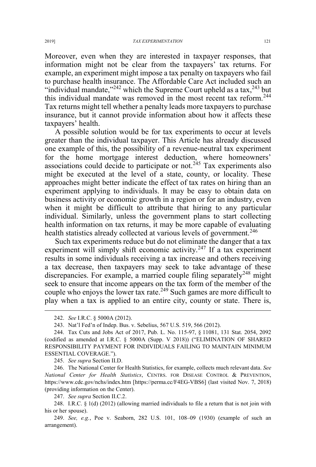Moreover, even when they are interested in taxpayer responses, that information might not be clear from the taxpayers' tax returns. For example, an experiment might impose a tax penalty on taxpayers who fail to purchase health insurance. The Affordable Care Act included such an "individual mandate,"<sup>242</sup> which the Supreme Court upheld as a tax, $243$  but this individual mandate was removed in the most recent tax reform.<sup>244</sup> Tax returns might tell whether a penalty leads more taxpayers to purchase insurance, but it cannot provide information about how it affects these taxpayers' health.

A possible solution would be for tax experiments to occur at levels greater than the individual taxpayer. This Article has already discussed one example of this, the possibility of a revenue-neutral tax experiment for the home mortgage interest deduction, where homeowners' associations could decide to participate or not.<sup>245</sup> Tax experiments also might be executed at the level of a state, county, or locality. These approaches might better indicate the effect of tax rates on hiring than an experiment applying to individuals. It may be easy to obtain data on business activity or economic growth in a region or for an industry, even when it might be difficult to attribute that hiring to any particular individual. Similarly, unless the government plans to start collecting health information on tax returns, it may be more capable of evaluating health statistics already collected at various levels of government.<sup>246</sup>

Such tax experiments reduce but do not eliminate the danger that a tax experiment will simply shift economic activity.<sup>247</sup> If a tax experiment results in some individuals receiving a tax increase and others receiving a tax decrease, then taxpayers may seek to take advantage of these discrepancies. For example, a married couple filing separately<sup>248</sup> might seek to ensure that income appears on the tax form of the member of the couple who enjoys the lower tax rate.<sup>249</sup> Such games are more difficult to play when a tax is applied to an entire city, county or state. There is,

245. *See supra* Section II.D.

246. The National Center for Health Statistics, for example, collects much relevant data. *See National Center for Health Statistics*, CENTRS. FOR DISEASE CONTROL & PREVENTION, https://www.cdc.gov/nchs/index.htm [https://perma.cc/F4EG-VBS6] (last visited Nov. 7, 2018) (providing information on the Center).

247. *See supra* Section II.C.2.

248. I.R.C. § 1(d) (2012) (allowing married individuals to file a return that is not join with his or her spouse).

249. *See, e.g.*, Poe v. Seaborn, 282 U.S. 101, 108–09 (1930) (example of such an arrangement).

 <sup>242.</sup> *See* I.R.C. § 5000A (2012).

<sup>243.</sup> Nat'l Fed'n of Indep. Bus. v. Sebelius, 567 U.S. 519, 566 (2012).

<sup>244.</sup> Tax Cuts and Jobs Act of 2017, Pub. L. No. 115-97, § 11081, 131 Stat. 2054, 2092 (codified as amended at I.R.C. § 5000A (Supp. V 2018)) ("ELIMINATION OF SHARED RESPONSIBILITY PAYMENT FOR INDIVIDUALS FAILING TO MAINTAIN MINIMUM ESSENTIAL COVERAGE.").